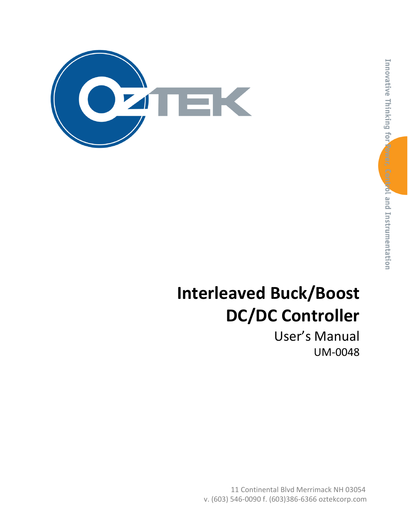

# **Interleaved Buck/Boost DC/DC Controller**

User's Manual UM-0048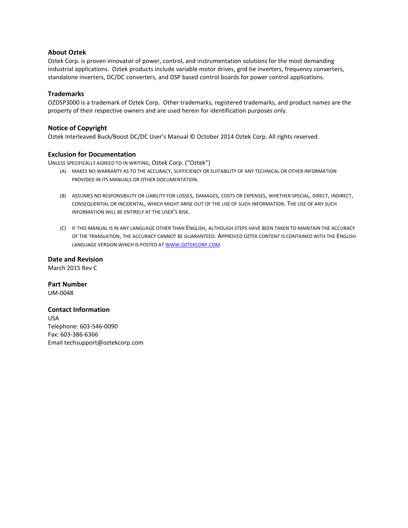#### **About Oztek**

Oztek Corp. is proven innovator of power, control, and instrumentation solutions for the most demanding industrial applications. Oztek products include variable motor drives, grid tie inverters, frequency converters, standalone inverters, DC/DC converters, and DSP based control boards for power control applications.

#### **Trademarks**

OZDSP3000 is a trademark of Oztek Corp. Other trademarks, registered trademarks, and product names are the property of their respective owners and are used herein for identification purposes only.

#### **Notice of Copyright**

Oztek Interleaved Buck/Boost DC/DC User's Manual © October 2014 Oztek Corp. All rights reserved.

#### **Exclusion for Documentation**

UNLESS SPECIFICALLY AGREED TO IN WRITING, Oztek Corp. ("Oztek")

- (A) MAKES NO WARRANTY AS TO THE ACCURACY, SUFFICIENCY OR SUITABILITY OF ANY TECHNICAL OR OTHER INFORMATION PROVIDED IN ITS MANUALS OR OTHER DOCUMENTATION.
- (B) ASSUMES NO RESPONSIBILITY OR LIABILITY FOR LOSSES, DAMAGES, COSTS OR EXPENSES, WHETHER SPECIAL, DIRECT, INDIRECT, CONSEQUENTIAL OR INCIDENTAL, WHICH MIGHT ARISE OUT OF THE USE OF SUCH INFORMATION. THE USE OF ANY SUCH INFORMATION WILL BE ENTIRELY AT THE USER'S RISK.
- (C) IF THIS MANUAL IS IN ANY LANGUAGE OTHER THAN ENGLISH, ALTHOUGH STEPS HAVE BEEN TAKEN TO MAINTAIN THE ACCURACY OF THE TRANSLATION, THE ACCURACY CANNOT BE GUARANTEED. APPROVED OZTEK CONTENT IS CONTAINED WITH THE ENGLISH LANGUAGE VERSION WHICH IS POSTED AT WWW.[OZTEKCORP](http://www.oztekcorp.com/).COM.

**Date and Revision** March 2015 Rev C

**Part Number** UM-0048

#### **Contact Information**

USA Telephone: 603-546-0090 Fax: 603-386-6366 Email techsupport@oztekcorp.com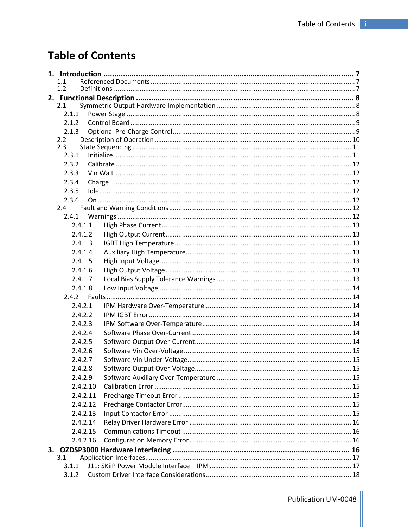### **Table of Contents**

| 1.1     |          |  |
|---------|----------|--|
| 1.2     |          |  |
| 2.1     |          |  |
| 2.1.1   |          |  |
| 2.1.2   |          |  |
| 2.1.3   |          |  |
| 2.2     |          |  |
| 2.3     |          |  |
| 2.3.1   |          |  |
| 2.3.2   |          |  |
| 2.3.3   |          |  |
| 2.3.4   |          |  |
| 2.3.5   |          |  |
| 2.3.6   |          |  |
| 2.4     |          |  |
| 2.4.1   |          |  |
| 2.4.1.1 |          |  |
| 2.4.1.2 |          |  |
| 2.4.1.3 |          |  |
| 2.4.1.4 |          |  |
| 2.4.1.5 |          |  |
| 2.4.1.6 |          |  |
| 2.4.1.7 |          |  |
| 2.4.1.8 |          |  |
|         |          |  |
| 2.4.2.1 |          |  |
| 2.4.2.2 |          |  |
| 2.4.2.3 |          |  |
| 2.4.2.4 |          |  |
| 2.4.2.5 |          |  |
| 2.4.2.6 |          |  |
| 2.4.2.7 |          |  |
| 2.4.2.8 |          |  |
| 2.4.2.9 |          |  |
|         | 2.4.2.10 |  |
|         | 2.4.2.11 |  |
|         | 2.4.2.12 |  |
|         | 2.4.2.13 |  |
|         | 2.4.2.14 |  |
|         | 2.4.2.15 |  |
|         | 2.4.2.16 |  |
|         |          |  |
| 3.1     |          |  |
| 3.1.1   |          |  |
| 3.1.2   |          |  |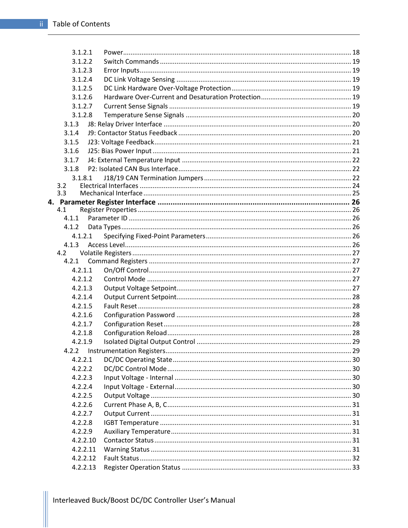| 3.1.2.1          |  |
|------------------|--|
| 3.1.2.2          |  |
| 3.1.2.3          |  |
| 3.1.2.4          |  |
| 3.1.2.5          |  |
| 3.1.2.6          |  |
| 3.1.2.7          |  |
| 3.1.2.8          |  |
| 3.1.3            |  |
| 3.1.4            |  |
| 3.1.5            |  |
| 3.1.6            |  |
| 3.1.7            |  |
| 3.1.8            |  |
| 3.1.8.1          |  |
| 3.2              |  |
| 3.3              |  |
|                  |  |
| 4.1<br>4.1.1     |  |
| 4.1.2            |  |
|                  |  |
| 4.1.2.1<br>4.1.3 |  |
| 4.2              |  |
| 4.2.1            |  |
| 4.2.1.1          |  |
| 4.2.1.2          |  |
| 4.2.1.3          |  |
| 4.2.1.4          |  |
| 4.2.1.5          |  |
| 4.2.1.6          |  |
| 4.2.1.7          |  |
| 4.2.1.8          |  |
| 4.2.1.9          |  |
| 4.2.2            |  |
| 4.2.2.1          |  |
| 4.2.2.2          |  |
| 4.2.2.3          |  |
| 4.2.2.4          |  |
| 4.2.2.5          |  |
| 4.2.2.6          |  |
| 4.2.2.7          |  |
| 4.2.2.8          |  |
| 4.2.2.9          |  |
| 4.2.2.10         |  |
| 4.2.2.11         |  |
| 4.2.2.12         |  |
| 4.2.2.13         |  |
|                  |  |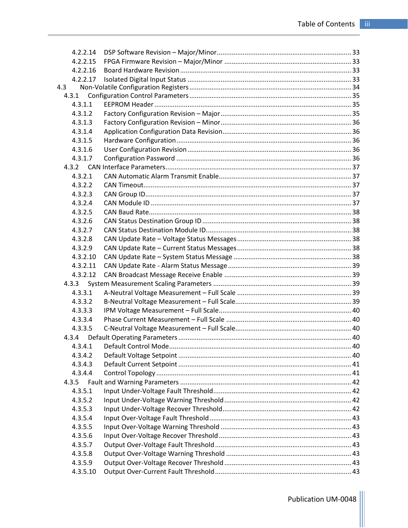| 4.2.2.14 |  |
|----------|--|
| 4.2.2.15 |  |
| 4.2.2.16 |  |
| 4.2.2.17 |  |
| 4.3      |  |
| 4.3.1    |  |
| 4.3.1.1  |  |
| 4.3.1.2  |  |
| 4.3.1.3  |  |
| 4.3.1.4  |  |
| 4.3.1.5  |  |
| 4.3.1.6  |  |
| 4.3.1.7  |  |
|          |  |
| 4.3.2.1  |  |
| 4.3.2.2  |  |
| 4.3.2.3  |  |
| 4.3.2.4  |  |
| 4.3.2.5  |  |
| 4.3.2.6  |  |
| 4.3.2.7  |  |
| 4.3.2.8  |  |
| 4.3.2.9  |  |
| 4.3.2.10 |  |
| 4.3.2.11 |  |
| 4.3.2.12 |  |
| 4.3.3    |  |
| 4.3.3.1  |  |
| 4.3.3.2  |  |
| 4.3.3.3  |  |
| 4.3.3.4  |  |
| 4.3.3.5  |  |
| 4.3.4    |  |
| 4.3.4.1  |  |
| 4.3.4.2  |  |
| 4.3.4.3  |  |
| 4.3.4.4  |  |
| 4.3.5    |  |
| 4.3.5.1  |  |
| 4.3.5.2  |  |
| 4.3.5.3  |  |
| 4.3.5.4  |  |
| 4.3.5.5  |  |
| 4.3.5.6  |  |
| 4.3.5.7  |  |
|          |  |
| 4.3.5.8  |  |
| 4.3.5.9  |  |
| 4.3.5.10 |  |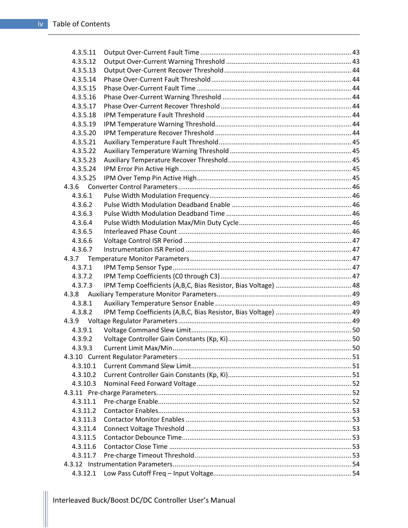| 4.3.5.11 |  |
|----------|--|
| 4.3.5.12 |  |
| 4.3.5.13 |  |
| 4.3.5.14 |  |
| 4.3.5.15 |  |
| 4.3.5.16 |  |
| 4.3.5.17 |  |
| 4.3.5.18 |  |
| 4.3.5.19 |  |
| 4.3.5.20 |  |
| 4.3.5.21 |  |
| 4.3.5.22 |  |
| 4.3.5.23 |  |
| 4.3.5.24 |  |
| 4.3.5.25 |  |
| 4.3.6    |  |
| 4.3.6.1  |  |
| 4.3.6.2  |  |
| 4.3.6.3  |  |
| 4.3.6.4  |  |
| 4.3.6.5  |  |
| 4.3.6.6  |  |
| 4.3.6.7  |  |
| 4.3.7    |  |
| 4.3.7.1  |  |
| 4.3.7.2  |  |
| 4.3.7.3  |  |
| 4.3.8    |  |
| 4.3.8.1  |  |
| 4.3.8.2  |  |
|          |  |
| 4.3.9.1  |  |
| 4.3.9.2  |  |
| 4.3.9.3  |  |
|          |  |
| 4.3.10.1 |  |
| 4.3.10.2 |  |
| 4.3.10.3 |  |
|          |  |
| 4.3.11.1 |  |
| 4.3.11.2 |  |
| 4.3.11.3 |  |
| 4.3.11.4 |  |
| 4.3.11.5 |  |
| 4.3.11.6 |  |
| 4.3.11.7 |  |
|          |  |
| 4.3.12.1 |  |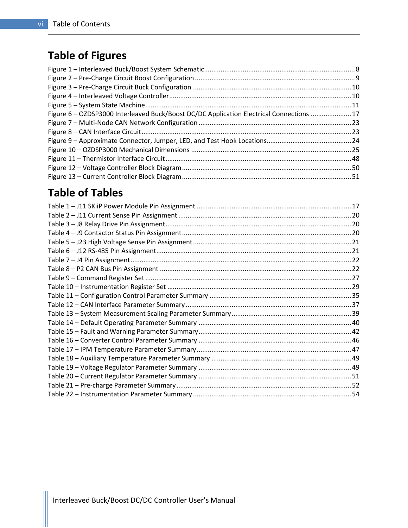### **Table of Figures**

| Figure 6 - OZDSP3000 Interleaved Buck/Boost DC/DC Application Electrical Connections  17 |  |
|------------------------------------------------------------------------------------------|--|
|                                                                                          |  |
|                                                                                          |  |
|                                                                                          |  |
|                                                                                          |  |
|                                                                                          |  |
|                                                                                          |  |
|                                                                                          |  |

### **Table of Tables**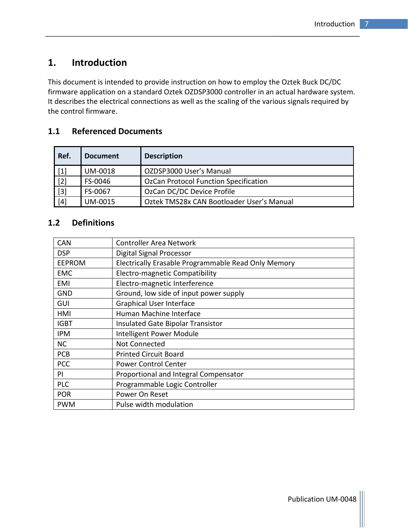### <span id="page-8-0"></span>**1. Introduction**

This document is intended to provide instruction on how to employ the Oztek Buck DC/DC firmware application on a standard Oztek OZDSP3000 controller in an actual hardware system. It describes the electrical connections as well as the scaling of the various signals required by the control firmware.

#### <span id="page-8-1"></span>**1.1 Referenced Documents**

| Ref.  | <b>Document</b> | <b>Description</b>                           |
|-------|-----------------|----------------------------------------------|
| $[1]$ | UM-0018         | OZDSP3000 User's Manual                      |
| $[2]$ | FS-0046         | <b>OzCan Protocol Function Specification</b> |
| $[3]$ | FS-0067         | OzCan DC/DC Device Profile                   |
| [4]   | UM-0015         | Oztek TMS28x CAN Bootloader User's Manual    |

#### <span id="page-8-2"></span>**1.2 Definitions**

| <b>CAN</b>    | <b>Controller Area Network</b>                      |
|---------------|-----------------------------------------------------|
| <b>DSP</b>    | Digital Signal Processor                            |
| <b>EEPROM</b> | Electrically Erasable Programmable Read Only Memory |
| <b>EMC</b>    | Electro-magnetic Compatibility                      |
| EMI           | Electro-magnetic Interference                       |
| <b>GND</b>    | Ground, low side of input power supply              |
| GUI           | <b>Graphical User Interface</b>                     |
| HMI           | Human Machine Interface                             |
| <b>IGBT</b>   | Insulated Gate Bipolar Transistor                   |
| <b>IPM</b>    | Intelligent Power Module                            |
| <b>NC</b>     | Not Connected                                       |
| PCB           | <b>Printed Circuit Board</b>                        |
| <b>PCC</b>    | <b>Power Control Center</b>                         |
| ΡI            | Proportional and Integral Compensator               |
| <b>PLC</b>    | Programmable Logic Controller                       |
| <b>POR</b>    | Power On Reset                                      |
| <b>PWM</b>    | Pulse width modulation                              |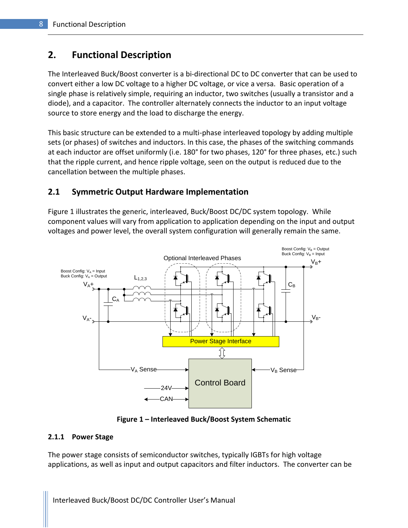### <span id="page-9-0"></span>**2. Functional Description**

The Interleaved Buck/Boost converter is a bi-directional DC to DC converter that can be used to convert either a low DC voltage to a higher DC voltage, or vice a versa. Basic operation of a single phase is relatively simple, requiring an inductor, two switches (usually a transistor and a diode), and a capacitor. The controller alternately connects the inductor to an input voltage source to store energy and the load to discharge the energy.

This basic structure can be extended to a multi-phase interleaved topology by adding multiple sets (or phases) of switches and inductors. In this case, the phases of the switching commands at each inductor are offset uniformly (i.e. 180° for two phases, 120° for three phases, etc.) such that the ripple current, and hence ripple voltage, seen on the output is reduced due to the cancellation between the multiple phases.

### <span id="page-9-1"></span>**2.1 Symmetric Output Hardware Implementation**

[Figure 1](#page-9-3) illustrates the generic, interleaved, Buck/Boost DC/DC system topology. While component values will vary from application to application depending on the input and output voltages and power level, the overall system configuration will generally remain the same.



**Figure 1 – Interleaved Buck/Boost System Schematic**

#### <span id="page-9-3"></span><span id="page-9-2"></span>**2.1.1 Power Stage**

The power stage consists of semiconductor switches, typically IGBTs for high voltage applications, as well as input and output capacitors and filter inductors. The converter can be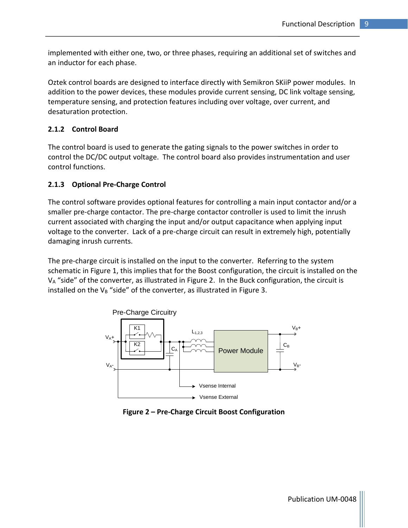implemented with either one, two, or three phases, requiring an additional set of switches and an inductor for each phase.

Oztek control boards are designed to interface directly with Semikron SKiiP power modules. In addition to the power devices, these modules provide current sensing, DC link voltage sensing, temperature sensing, and protection features including over voltage, over current, and desaturation protection.

#### <span id="page-10-0"></span>**2.1.2 Control Board**

The control board is used to generate the gating signals to the power switches in order to control the DC/DC output voltage. The control board also provides instrumentation and user control functions.

#### <span id="page-10-1"></span>**2.1.3 Optional Pre-Charge Control**

The control software provides optional features for controlling a main input contactor and/or a smaller pre-charge contactor. The pre-charge contactor controller is used to limit the inrush current associated with charging the input and/or output capacitance when applying input voltage to the converter. Lack of a pre-charge circuit can result in extremely high, potentially damaging inrush currents.

The pre-charge circuit is installed on the input to the converter. Referring to the system schematic i[n Figure 1,](#page-9-3) this implies that for the Boost configuration, the circuit is installed on the  $V_A$  "side" of the converter, as illustrated in [Figure 2.](#page-10-2) In the Buck configuration, the circuit is installed on the  $V_B$  "side" of the converter, as illustrated in [Figure 3.](#page-11-1)



<span id="page-10-2"></span>**Figure 2 – Pre-Charge Circuit Boost Configuration**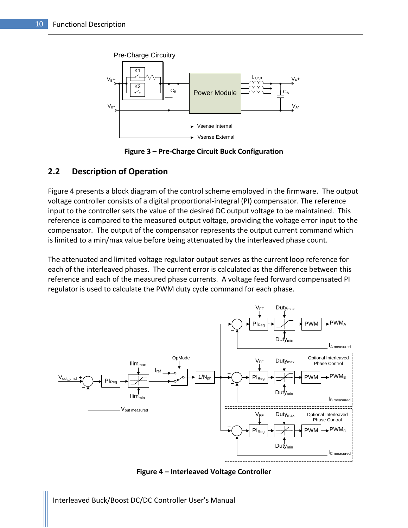

**Figure 3 – Pre-Charge Circuit Buck Configuration**

#### <span id="page-11-1"></span><span id="page-11-0"></span>**2.2 Description of Operation**

[Figure 4](#page-11-2) presents a block diagram of the control scheme employed in the firmware. The output voltage controller consists of a digital proportional-integral (PI) compensator. The reference input to the controller sets the value of the desired DC output voltage to be maintained. This reference is compared to the measured output voltage, providing the voltage error input to the compensator. The output of the compensator represents the output current command which is limited to a min/max value before being attenuated by the interleaved phase count.

The attenuated and limited voltage regulator output serves as the current loop reference for each of the interleaved phases. The current error is calculated as the difference between this reference and each of the measured phase currents. A voltage feed forward compensated PI regulator is used to calculate the PWM duty cycle command for each phase.



<span id="page-11-2"></span>**Figure 4 – Interleaved Voltage Controller**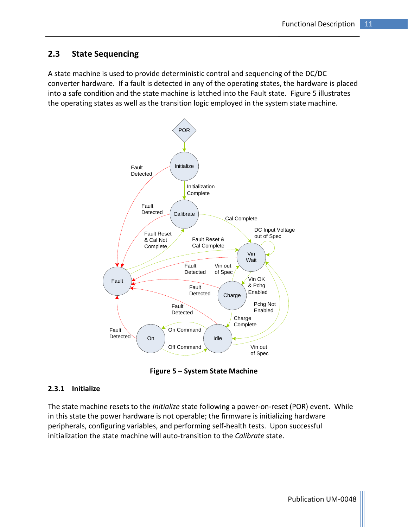#### <span id="page-12-0"></span>**2.3 State Sequencing**

A state machine is used to provide deterministic control and sequencing of the DC/DC converter hardware. If a fault is detected in any of the operating states, the hardware is placed into a safe condition and the state machine is latched into the Fault state. [Figure 5](#page-12-2) illustrates the operating states as well as the transition logic employed in the system state machine.



**Figure 5 – System State Machine**

#### <span id="page-12-2"></span><span id="page-12-1"></span>**2.3.1 Initialize**

The state machine resets to the *Initialize* state following a power-on-reset (POR) event. While in this state the power hardware is not operable; the firmware is initializing hardware peripherals, configuring variables, and performing self-health tests. Upon successful initialization the state machine will auto-transition to the *Calibrate* state.

Publication UM-0048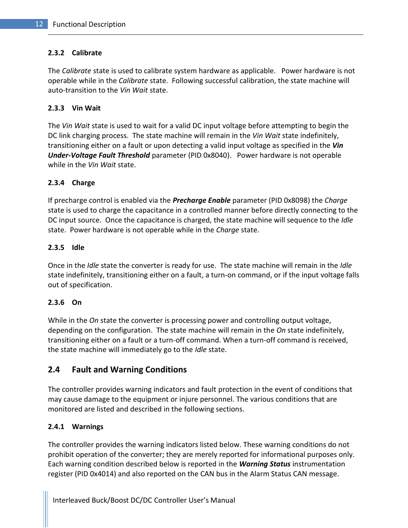#### <span id="page-13-0"></span>**2.3.2 Calibrate**

The *Calibrate* state is used to calibrate system hardware as applicable. Power hardware is not operable while in the *Calibrate* state. Following successful calibration, the state machine will auto-transition to the *Vin Wait* state.

#### <span id="page-13-1"></span>**2.3.3 Vin Wait**

The *Vin Wait* state is used to wait for a valid DC input voltage before attempting to begin the DC link charging process. The state machine will remain in the *Vin Wait* state indefinitely, transitioning either on a fault or upon detecting a valid input voltage as specified in the *Vin Under-Voltage Fault Threshold* parameter (PID 0x8040). Power hardware is not operable while in the *Vin Wait* state.

#### <span id="page-13-2"></span>**2.3.4 Charge**

If precharge control is enabled via the *Precharge Enable* parameter (PID 0x8098) the *Charge* state is used to charge the capacitance in a controlled manner before directly connecting to the DC input source. Once the capacitance is charged, the state machine will sequence to the *Idle* state. Power hardware is not operable while in the *Charge* state.

#### <span id="page-13-3"></span>**2.3.5 Idle**

Once in the *Idle* state the converter is ready for use. The state machine will remain in the *Idle* state indefinitely, transitioning either on a fault, a turn-on command, or if the input voltage falls out of specification.

#### <span id="page-13-4"></span>**2.3.6 On**

While in the *On* state the converter is processing power and controlling output voltage, depending on the configuration. The state machine will remain in the *On* state indefinitely, transitioning either on a fault or a turn-off command. When a turn-off command is received, the state machine will immediately go to the *Idle* state.

#### <span id="page-13-5"></span>**2.4 Fault and Warning Conditions**

The controller provides warning indicators and fault protection in the event of conditions that may cause damage to the equipment or injure personnel. The various conditions that are monitored are listed and described in the following sections.

#### <span id="page-13-6"></span>**2.4.1 Warnings**

The controller provides the warning indicators listed below. These warning conditions do not prohibit operation of the converter; they are merely reported for informational purposes only. Each warning condition described below is reported in the *Warning Status* instrumentation register (PID 0x4014) and also reported on the CAN bus in the Alarm Status CAN message.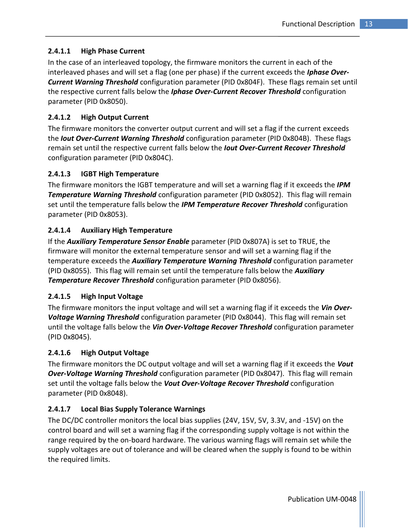#### <span id="page-14-0"></span>**2.4.1.1 High Phase Current**

In the case of an interleaved topology, the firmware monitors the current in each of the interleaved phases and will set a flag (one per phase) if the current exceeds the *Iphase Over-Current Warning Threshold* configuration parameter (PID 0x804F). These flags remain set until the respective current falls below the *Iphase Over-Current Recover Threshold* configuration parameter (PID 0x8050).

#### <span id="page-14-1"></span>**2.4.1.2 High Output Current**

The firmware monitors the converter output current and will set a flag if the current exceeds the *Iout Over-Current Warning Threshold* configuration parameter (PID 0x804B). These flags remain set until the respective current falls below the *Iout Over-Current Recover Threshold* configuration parameter (PID 0x804C).

#### <span id="page-14-2"></span>**2.4.1.3 IGBT High Temperature**

The firmware monitors the IGBT temperature and will set a warning flag if it exceeds the *IPM Temperature Warning Threshold* configuration parameter (PID 0x8052). This flag will remain set until the temperature falls below the *IPM Temperature Recover Threshold* configuration parameter (PID 0x8053).

#### <span id="page-14-3"></span>**2.4.1.4 Auxiliary High Temperature**

If the *Auxiliary Temperature Sensor Enable* parameter (PID 0x807A) is set to TRUE, the firmware will monitor the external temperature sensor and will set a warning flag if the temperature exceeds the *Auxiliary Temperature Warning Threshold* configuration parameter (PID 0x8055). This flag will remain set until the temperature falls below the *Auxiliary Temperature Recover Threshold* configuration parameter (PID 0x8056).

#### <span id="page-14-4"></span>**2.4.1.5 High Input Voltage**

The firmware monitors the input voltage and will set a warning flag if it exceeds the *Vin Over-Voltage Warning Threshold* configuration parameter (PID 0x8044). This flag will remain set until the voltage falls below the *Vin Over-Voltage Recover Threshold* configuration parameter (PID 0x8045).

#### <span id="page-14-5"></span>**2.4.1.6 High Output Voltage**

The firmware monitors the DC output voltage and will set a warning flag if it exceeds the *Vout Over-Voltage Warning Threshold* configuration parameter (PID 0x8047). This flag will remain set until the voltage falls below the *Vout Over-Voltage Recover Threshold* configuration parameter (PID 0x8048).

#### <span id="page-14-6"></span>**2.4.1.7 Local Bias Supply Tolerance Warnings**

The DC/DC controller monitors the local bias supplies (24V, 15V, 5V, 3.3V, and -15V) on the control board and will set a warning flag if the corresponding supply voltage is not within the range required by the on-board hardware. The various warning flags will remain set while the supply voltages are out of tolerance and will be cleared when the supply is found to be within the required limits.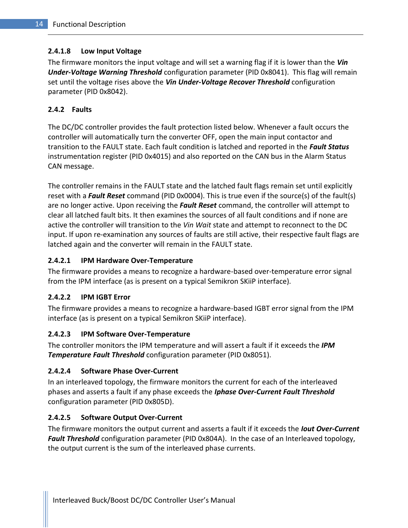#### <span id="page-15-0"></span>**2.4.1.8 Low Input Voltage**

The firmware monitors the input voltage and will set a warning flag if it is lower than the *Vin Under-Voltage Warning Threshold* configuration parameter (PID 0x8041). This flag will remain set until the voltage rises above the *Vin Under-Voltage Recover Threshold* configuration parameter (PID 0x8042).

#### <span id="page-15-1"></span>**2.4.2 Faults**

The DC/DC controller provides the fault protection listed below. Whenever a fault occurs the controller will automatically turn the converter OFF, open the main input contactor and transition to the FAULT state. Each fault condition is latched and reported in the *Fault Status* instrumentation register (PID 0x4015) and also reported on the CAN bus in the Alarm Status CAN message.

The controller remains in the FAULT state and the latched fault flags remain set until explicitly reset with a *Fault Reset* command (PID 0x0004). This is true even if the source(s) of the fault(s) are no longer active. Upon receiving the *Fault Reset* command, the controller will attempt to clear all latched fault bits. It then examines the sources of all fault conditions and if none are active the controller will transition to the *Vin Wait* state and attempt to reconnect to the DC input. If upon re-examination any sources of faults are still active, their respective fault flags are latched again and the converter will remain in the FAULT state.

#### <span id="page-15-2"></span>**2.4.2.1 IPM Hardware Over-Temperature**

The firmware provides a means to recognize a hardware-based over-temperature error signal from the IPM interface (as is present on a typical Semikron SKiiP interface).

#### <span id="page-15-3"></span>**2.4.2.2 IPM IGBT Error**

The firmware provides a means to recognize a hardware-based IGBT error signal from the IPM interface (as is present on a typical Semikron SKiiP interface).

#### <span id="page-15-4"></span>**2.4.2.3 IPM Software Over-Temperature**

The controller monitors the IPM temperature and will assert a fault if it exceeds the *IPM Temperature Fault Threshold* configuration parameter (PID 0x8051).

#### <span id="page-15-5"></span>**2.4.2.4 Software Phase Over-Current**

In an interleaved topology, the firmware monitors the current for each of the interleaved phases and asserts a fault if any phase exceeds the *Iphase Over-Current Fault Threshold* configuration parameter (PID 0x805D).

#### <span id="page-15-6"></span>**2.4.2.5 Software Output Over-Current**

The firmware monitors the output current and asserts a fault if it exceeds the *Iout Over-Current Fault Threshold* configuration parameter (PID 0x804A). In the case of an Interleaved topology, the output current is the sum of the interleaved phase currents.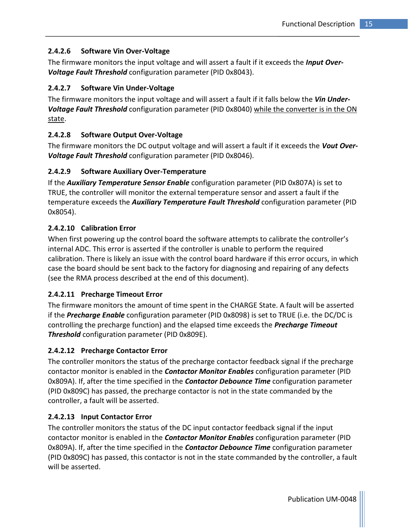#### <span id="page-16-0"></span>**2.4.2.6 Software Vin Over-Voltage**

The firmware monitors the input voltage and will assert a fault if it exceeds the *Input Over-Voltage Fault Threshold* configuration parameter (PID 0x8043).

#### <span id="page-16-1"></span>**2.4.2.7 Software Vin Under-Voltage**

The firmware monitors the input voltage and will assert a fault if it falls below the *Vin Under-Voltage Fault Threshold* configuration parameter (PID 0x8040) while the converter is in the ON state.

#### <span id="page-16-2"></span>**2.4.2.8 Software Output Over-Voltage**

The firmware monitors the DC output voltage and will assert a fault if it exceeds the *Vout Over-Voltage Fault Threshold* configuration parameter (PID 0x8046).

#### <span id="page-16-3"></span>**2.4.2.9 Software Auxiliary Over-Temperature**

If the *Auxiliary Temperature Sensor Enable* configuration parameter (PID 0x807A) is set to TRUE, the controller will monitor the external temperature sensor and assert a fault if the temperature exceeds the *Auxiliary Temperature Fault Threshold* configuration parameter (PID 0x8054).

#### <span id="page-16-4"></span>**2.4.2.10 Calibration Error**

When first powering up the control board the software attempts to calibrate the controller's internal ADC. This error is asserted if the controller is unable to perform the required calibration. There is likely an issue with the control board hardware if this error occurs, in which case the board should be sent back to the factory for diagnosing and repairing of any defects (see the RMA process described at the end of this document).

#### <span id="page-16-5"></span>**2.4.2.11 Precharge Timeout Error**

The firmware monitors the amount of time spent in the CHARGE State. A fault will be asserted if the *Precharge Enable* configuration parameter (PID 0x8098) is set to TRUE (i.e. the DC/DC is controlling the precharge function) and the elapsed time exceeds the *Precharge Timeout Threshold* configuration parameter (PID 0x809E).

#### <span id="page-16-6"></span>**2.4.2.12 Precharge Contactor Error**

The controller monitors the status of the precharge contactor feedback signal if the precharge contactor monitor is enabled in the *Contactor Monitor Enables* configuration parameter (PID 0x809A). If, after the time specified in the *Contactor Debounce Time* configuration parameter (PID 0x809C) has passed, the precharge contactor is not in the state commanded by the controller, a fault will be asserted.

#### <span id="page-16-7"></span>**2.4.2.13 Input Contactor Error**

The controller monitors the status of the DC input contactor feedback signal if the input contactor monitor is enabled in the *Contactor Monitor Enables* configuration parameter (PID 0x809A). If, after the time specified in the *Contactor Debounce Time* configuration parameter (PID 0x809C) has passed, this contactor is not in the state commanded by the controller, a fault will be asserted.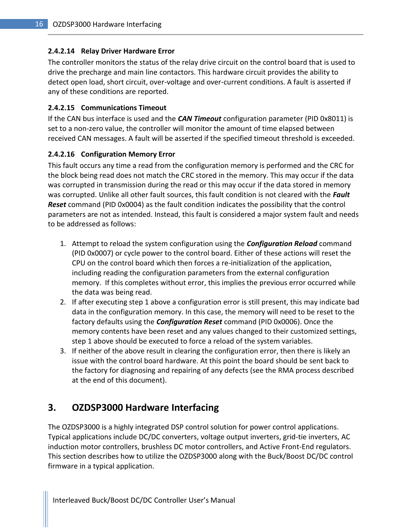#### <span id="page-17-0"></span>**2.4.2.14 Relay Driver Hardware Error**

The controller monitors the status of the relay drive circuit on the control board that is used to drive the precharge and main line contactors. This hardware circuit provides the ability to detect open load, short circuit, over-voltage and over-current conditions. A fault is asserted if any of these conditions are reported.

#### <span id="page-17-1"></span>**2.4.2.15 Communications Timeout**

If the CAN bus interface is used and the *CAN Timeout* configuration parameter (PID 0x8011) is set to a non-zero value, the controller will monitor the amount of time elapsed between received CAN messages. A fault will be asserted if the specified timeout threshold is exceeded.

#### <span id="page-17-2"></span>**2.4.2.16 Configuration Memory Error**

This fault occurs any time a read from the configuration memory is performed and the CRC for the block being read does not match the CRC stored in the memory. This may occur if the data was corrupted in transmission during the read or this may occur if the data stored in memory was corrupted. Unlike all other fault sources, this fault condition is not cleared with the *Fault Reset* command (PID 0x0004) as the fault condition indicates the possibility that the control parameters are not as intended. Instead, this fault is considered a major system fault and needs to be addressed as follows:

- 1. Attempt to reload the system configuration using the *Configuration Reload* command (PID 0x0007) or cycle power to the control board. Either of these actions will reset the CPU on the control board which then forces a re-initialization of the application, including reading the configuration parameters from the external configuration memory. If this completes without error, this implies the previous error occurred while the data was being read.
- 2. If after executing step 1 above a configuration error is still present, this may indicate bad data in the configuration memory. In this case, the memory will need to be reset to the factory defaults using the *Configuration Reset* command (PID 0x0006). Once the memory contents have been reset and any values changed to their customized settings, step 1 above should be executed to force a reload of the system variables.
- 3. If neither of the above result in clearing the configuration error, then there is likely an issue with the control board hardware. At this point the board should be sent back to the factory for diagnosing and repairing of any defects (see the RMA process described at the end of this document).

### <span id="page-17-3"></span>**3. OZDSP3000 Hardware Interfacing**

The OZDSP3000 is a highly integrated DSP control solution for power control applications. Typical applications include DC/DC converters, voltage output inverters, grid-tie inverters, AC induction motor controllers, brushless DC motor controllers, and Active Front-End regulators. This section describes how to utilize the OZDSP3000 along with the Buck/Boost DC/DC control firmware in a typical application.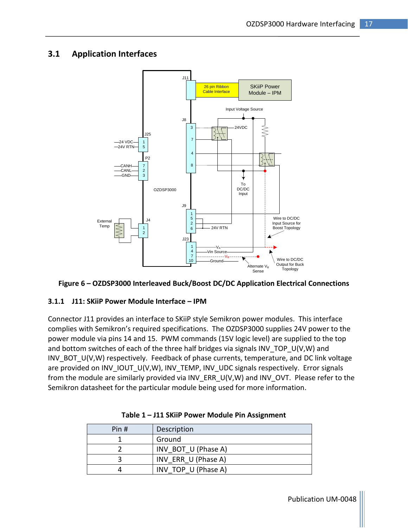#### <span id="page-18-0"></span>**3.1 Application Interfaces**



<span id="page-18-2"></span>

#### <span id="page-18-1"></span>**3.1.1 J11: SKiiP Power Module Interface – IPM**

Connector J11 provides an interface to SKiiP style Semikron power modules. This interface complies with Semikron's required specifications. The OZDSP3000 supplies 24V power to the power module via pins 14 and 15. PWM commands (15V logic level) are supplied to the top and bottom switches of each of the three half bridges via signals INV TOP U(V,W) and INV\_BOT\_U(V,W) respectively. Feedback of phase currents, temperature, and DC link voltage are provided on INV\_IOUT\_U(V,W), INV\_TEMP, INV\_UDC signals respectively. Error signals from the module are similarly provided via INV\_ERR\_U(V,W) and INV\_OVT. Please refer to the Semikron datasheet for the particular module being used for more information.

<span id="page-18-3"></span>

| Pin# | Description         |
|------|---------------------|
|      | Ground              |
|      | INV BOT U (Phase A) |
|      | INV ERR U (Phase A) |
|      | INV TOP U (Phase A) |

| Table 1 - J11 SKiiP Power Module Pin Assignment |  |  |  |  |
|-------------------------------------------------|--|--|--|--|
|-------------------------------------------------|--|--|--|--|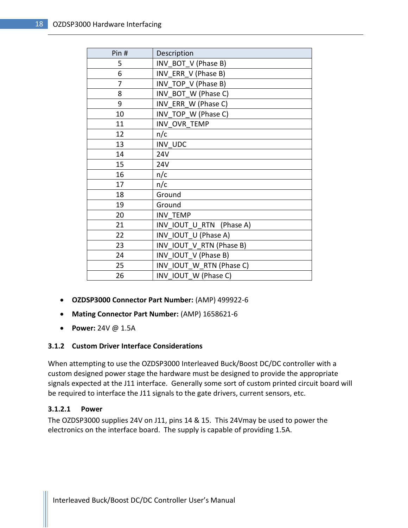| Pin#           | Description              |
|----------------|--------------------------|
| 5              | INV BOT V (Phase B)      |
| 6              | INV_ERR_V (Phase B)      |
| $\overline{7}$ | INV TOP_V (Phase B)      |
| 8              | INV_BOT_W (Phase C)      |
| 9              | INV_ERR_W (Phase C)      |
| 10             | INV TOP W (Phase C)      |
| 11             | INV OVR TEMP             |
| 12             | n/c                      |
| 13             | INV_UDC                  |
| 14             | <b>24V</b>               |
| 15             | 24V                      |
| 16             | n/c                      |
| 17             | n/c                      |
| 18             | Ground                   |
| 19             | Ground                   |
| 20             | INV TEMP                 |
| 21             | INV IOUT U RTN (Phase A) |
| 22             | INV IOUT U (Phase A)     |
| 23             | INV IOUT V RTN (Phase B) |
| 24             | INV_IOUT_V (Phase B)     |
| 25             | INV IOUT W RTN (Phase C) |
| 26             | INV IOUT W (Phase C)     |

- **OZDSP3000 Connector Part Number:** (AMP) 499922-6
- **Mating Connector Part Number:** (AMP) 1658621-6
- **Power:** 24V @ 1.5A

#### <span id="page-19-0"></span>**3.1.2 Custom Driver Interface Considerations**

When attempting to use the OZDSP3000 Interleaved Buck/Boost DC/DC controller with a custom designed power stage the hardware must be designed to provide the appropriate signals expected at the J11 interface. Generally some sort of custom printed circuit board will be required to interface the J11 signals to the gate drivers, current sensors, etc.

#### <span id="page-19-1"></span>**3.1.2.1 Power**

The OZDSP3000 supplies 24V on J11, pins 14 & 15. This 24Vmay be used to power the electronics on the interface board. The supply is capable of providing 1.5A.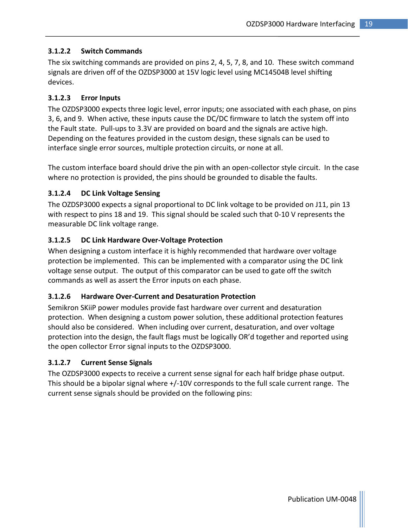#### <span id="page-20-0"></span>**3.1.2.2 Switch Commands**

The six switching commands are provided on pins 2, 4, 5, 7, 8, and 10. These switch command signals are driven off of the OZDSP3000 at 15V logic level using MC14504B level shifting devices.

#### <span id="page-20-1"></span>**3.1.2.3 Error Inputs**

The OZDSP3000 expects three logic level, error inputs; one associated with each phase, on pins 3, 6, and 9. When active, these inputs cause the DC/DC firmware to latch the system off into the Fault state. Pull-ups to 3.3V are provided on board and the signals are active high. Depending on the features provided in the custom design, these signals can be used to interface single error sources, multiple protection circuits, or none at all.

The custom interface board should drive the pin with an open-collector style circuit. In the case where no protection is provided, the pins should be grounded to disable the faults.

#### <span id="page-20-2"></span>**3.1.2.4 DC Link Voltage Sensing**

The OZDSP3000 expects a signal proportional to DC link voltage to be provided on J11, pin 13 with respect to pins 18 and 19. This signal should be scaled such that 0-10 V represents the measurable DC link voltage range.

#### <span id="page-20-3"></span>**3.1.2.5 DC Link Hardware Over-Voltage Protection**

When designing a custom interface it is highly recommended that hardware over voltage protection be implemented. This can be implemented with a comparator using the DC link voltage sense output. The output of this comparator can be used to gate off the switch commands as well as assert the Error inputs on each phase.

#### <span id="page-20-4"></span>**3.1.2.6 Hardware Over-Current and Desaturation Protection**

Semikron SKiiP power modules provide fast hardware over current and desaturation protection. When designing a custom power solution, these additional protection features should also be considered. When including over current, desaturation, and over voltage protection into the design, the fault flags must be logically OR'd together and reported using the open collector Error signal inputs to the OZDSP3000.

#### <span id="page-20-5"></span>**3.1.2.7 Current Sense Signals**

The OZDSP3000 expects to receive a current sense signal for each half bridge phase output. This should be a bipolar signal where +/-10V corresponds to the full scale current range. The current sense signals should be provided on the following pins: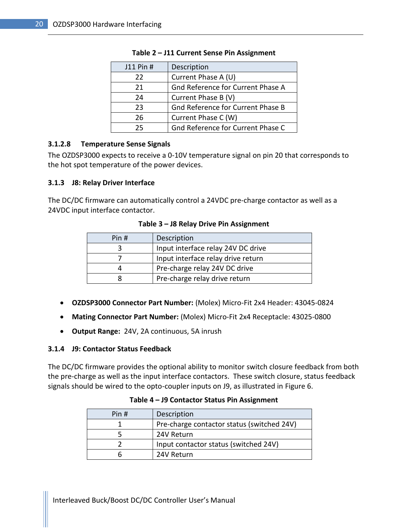<span id="page-21-3"></span>

| J11 Pin # | Description                              |
|-----------|------------------------------------------|
| 22        | Current Phase A (U)                      |
| 21        | Gnd Reference for Current Phase A        |
| 24        | Current Phase B (V)                      |
| 23        | <b>Gnd Reference for Current Phase B</b> |
| 26        | Current Phase C (W)                      |
| 25        | Gnd Reference for Current Phase C        |

#### **Table 2 – J11 Current Sense Pin Assignment**

#### <span id="page-21-0"></span>**3.1.2.8 Temperature Sense Signals**

The OZDSP3000 expects to receive a 0-10V temperature signal on pin 20 that corresponds to the hot spot temperature of the power devices.

#### <span id="page-21-1"></span>**3.1.3 J8: Relay Driver Interface**

<span id="page-21-4"></span>The DC/DC firmware can automatically control a 24VDC pre-charge contactor as well as a 24VDC input interface contactor.

**Table 3 – J8 Relay Drive Pin Assignment**

| Pin # | Description                        |
|-------|------------------------------------|
|       | Input interface relay 24V DC drive |
|       | Input interface relay drive return |
|       | Pre-charge relay 24V DC drive      |
|       | Pre-charge relay drive return      |

- **OZDSP3000 Connector Part Number:** (Molex) Micro-Fit 2x4 Header: 43045-0824
- **Mating Connector Part Number:** (Molex) Micro-Fit 2x4 Receptacle: 43025-0800
- **Output Range:** 24V, 2A continuous, 5A inrush

#### <span id="page-21-2"></span>**3.1.4 J9: Contactor Status Feedback**

<span id="page-21-5"></span>The DC/DC firmware provides the optional ability to monitor switch closure feedback from both the pre-charge as well as the input interface contactors. These switch closure, status feedback signals should be wired to the opto-coupler inputs on J9, as illustrated in [Figure 6.](#page-18-2)

| Pin # | Description                                |
|-------|--------------------------------------------|
|       | Pre-charge contactor status (switched 24V) |
|       | 24V Return                                 |
|       | Input contactor status (switched 24V)      |
|       | 24V Return                                 |

#### **Table 4 – J9 Contactor Status Pin Assignment**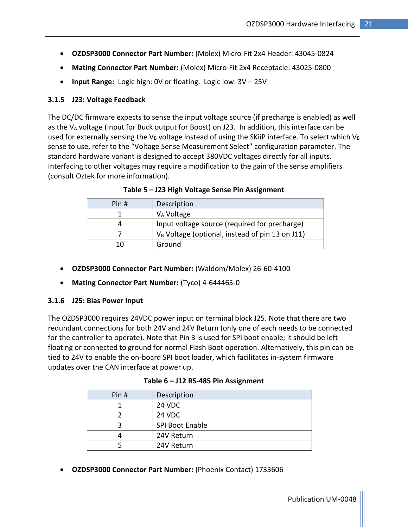- **OZDSP3000 Connector Part Number:** (Molex) Micro-Fit 2x4 Header: 43045-0824
- **Mating Connector Part Number:** (Molex) Micro-Fit 2x4 Receptacle: 43025-0800
- **Input Range:** Logic high: 0V or floating. Logic low: 3V 25V

#### <span id="page-22-0"></span>**3.1.5 J23: Voltage Feedback**

The DC/DC firmware expects to sense the input voltage source (if precharge is enabled) as well as the V<sub>A</sub> voltage (Input for Buck output for Boost) on J23. In addition, this interface can be used for externally sensing the  $V_B$  voltage instead of using the SKiiP interface. To select which  $V_B$ sense to use, refer to the "Voltage Sense Measurement Select" configuration parameter. The standard hardware variant is designed to accept 380VDC voltages directly for all inputs. Interfacing to other voltages may require a modification to the gain of the sense amplifiers (consult Oztek for more information).

<span id="page-22-2"></span>

| Pin # | Description                                                 |
|-------|-------------------------------------------------------------|
|       | V <sub>A</sub> Voltage                                      |
|       | Input voltage source (required for precharge)               |
|       | V <sub>B</sub> Voltage (optional, instead of pin 13 on J11) |
| 10    | Ground                                                      |

**Table 5 – J23 High Voltage Sense Pin Assignment**

- **OZDSP3000 Connector Part Number:** (Waldom/Molex) 26-60-4100
- **Mating Connector Part Number:** (Tyco) 4-644465-0

#### <span id="page-22-1"></span>**3.1.6 J25: Bias Power Input**

The OZDSP3000 requires 24VDC power input on terminal block J25. Note that there are two redundant connections for both 24V and 24V Return (only one of each needs to be connected for the controller to operate). Note that Pin 3 is used for SPI boot enable; it should be left floating or connected to ground for normal Flash Boot operation. Alternatively, this pin can be tied to 24V to enable the on-board SPI boot loader, which facilitates in-system firmware updates over the CAN interface at power up.

<span id="page-22-3"></span>

| Pin# | Description     |
|------|-----------------|
|      | <b>24 VDC</b>   |
|      | <b>24 VDC</b>   |
|      | SPI Boot Enable |
|      | 24V Return      |
|      | 24V Return      |

|  |  |  |  | Table 6 - J12 RS-485 Pin Assignment |
|--|--|--|--|-------------------------------------|
|--|--|--|--|-------------------------------------|

**OZDSP3000 Connector Part Number:** (Phoenix Contact) 1733606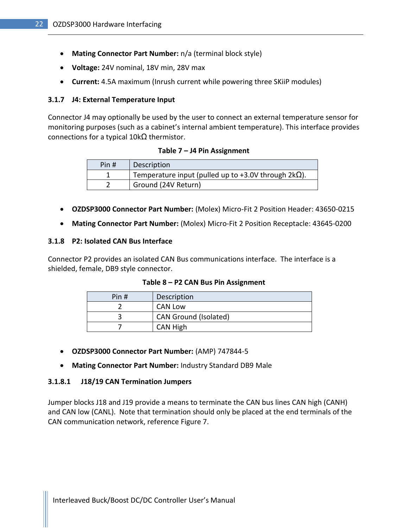- **Mating Connector Part Number:** n/a (terminal block style)
- **Voltage:** 24V nominal, 18V min, 28V max
- **Current:** 4.5A maximum (Inrush current while powering three SKiiP modules)

#### <span id="page-23-0"></span>**3.1.7 J4: External Temperature Input**

<span id="page-23-3"></span>Connector J4 may optionally be used by the user to connect an external temperature sensor for monitoring purposes (such as a cabinet's internal ambient temperature). This interface provides connections for a typical 10kΩ thermistor.

#### **Table 7 – J4 Pin Assignment**

| Pin # | Description                                                 |
|-------|-------------------------------------------------------------|
|       | Temperature input (pulled up to +3.0V through $2k\Omega$ ). |
|       | Ground (24V Return)                                         |

- **OZDSP3000 Connector Part Number:** (Molex) Micro-Fit 2 Position Header: 43650-0215
- **Mating Connector Part Number:** (Molex) Micro-Fit 2 Position Receptacle: 43645-0200

#### <span id="page-23-1"></span>**3.1.8 P2: Isolated CAN Bus Interface**

<span id="page-23-4"></span>Connector P2 provides an isolated CAN Bus communications interface. The interface is a shielded, female, DB9 style connector.

|  |  |  |  |  | Table 8 – P2 CAN Bus Pin Assignment |
|--|--|--|--|--|-------------------------------------|
|--|--|--|--|--|-------------------------------------|

| Pin # | Description           |
|-------|-----------------------|
|       | CAN Low               |
|       | CAN Ground (Isolated) |
|       | CAN High              |

- **OZDSP3000 Connector Part Number:** (AMP) 747844-5
- **Mating Connector Part Number:** Industry Standard DB9 Male

#### <span id="page-23-2"></span>**3.1.8.1 J18/19 CAN Termination Jumpers**

Jumper blocks J18 and J19 provide a means to terminate the CAN bus lines CAN high (CANH) and CAN low (CANL). Note that termination should only be placed at the end terminals of the CAN communication network, reference [Figure 7.](#page-24-0)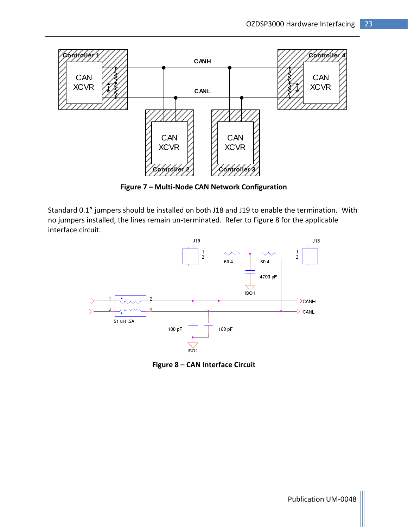

**Figure 7 – Multi-Node CAN Network Configuration**

<span id="page-24-0"></span>Standard 0.1" jumpers should be installed on both J18 and J19 to enable the termination. With no jumpers installed, the lines remain un-terminated. Refer to [Figure 8](#page-24-1) for the applicable interface circuit.



<span id="page-24-1"></span>**Figure 8 – CAN Interface Circuit**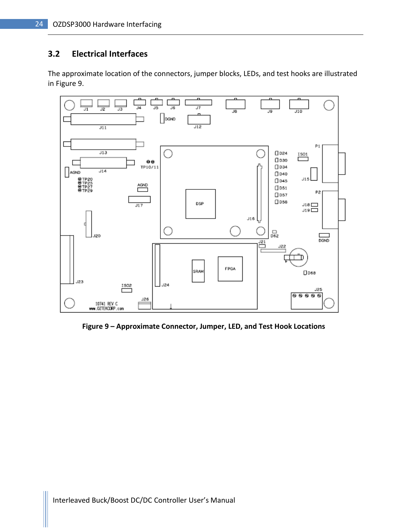### <span id="page-25-0"></span>**3.2 Electrical Interfaces**

The approximate location of the connectors, jumper blocks, LEDs, and test hooks are illustrated in [Figure 9.](#page-25-1)



<span id="page-25-1"></span>**Figure 9 – Approximate Connector, Jumper, LED, and Test Hook Locations**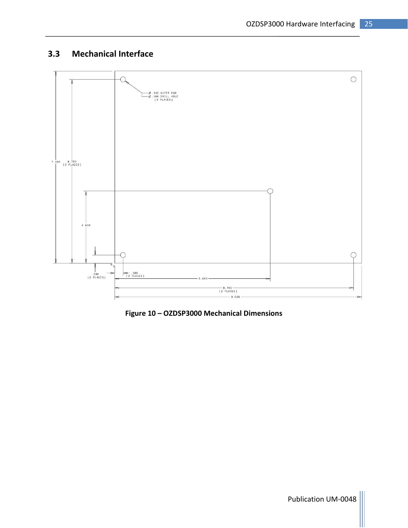### <span id="page-26-0"></span>**3.3 Mechanical Interface**



<span id="page-26-1"></span>**Figure 10 – OZDSP3000 Mechanical Dimensions**

Publication UM-0048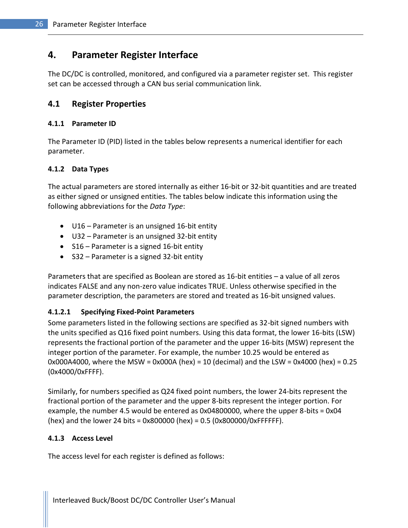### <span id="page-27-0"></span>**4. Parameter Register Interface**

The DC/DC is controlled, monitored, and configured via a parameter register set. This register set can be accessed through a CAN bus serial communication link.

#### <span id="page-27-1"></span>**4.1 Register Properties**

#### <span id="page-27-2"></span>**4.1.1 Parameter ID**

The Parameter ID (PID) listed in the tables below represents a numerical identifier for each parameter.

#### <span id="page-27-3"></span>**4.1.2 Data Types**

The actual parameters are stored internally as either 16-bit or 32-bit quantities and are treated as either signed or unsigned entities. The tables below indicate this information using the following abbreviations for the *Data Type*:

- U16 Parameter is an unsigned 16-bit entity
- U32 Parameter is an unsigned 32-bit entity
- S16 Parameter is a signed 16-bit entity
- $\bullet$  S32 Parameter is a signed 32-bit entity

Parameters that are specified as Boolean are stored as 16-bit entities – a value of all zeros indicates FALSE and any non-zero value indicates TRUE. Unless otherwise specified in the parameter description, the parameters are stored and treated as 16-bit unsigned values.

#### <span id="page-27-4"></span>**4.1.2.1 Specifying Fixed-Point Parameters**

Some parameters listed in the following sections are specified as 32-bit signed numbers with the units specified as Q16 fixed point numbers. Using this data format, the lower 16-bits (LSW) represents the fractional portion of the parameter and the upper 16-bits (MSW) represent the integer portion of the parameter. For example, the number 10.25 would be entered as 0x000A4000, where the MSW = 0x000A (hex) = 10 (decimal) and the LSW = 0x4000 (hex) = 0.25 (0x4000/0xFFFF).

Similarly, for numbers specified as Q24 fixed point numbers, the lower 24-bits represent the fractional portion of the parameter and the upper 8-bits represent the integer portion. For example, the number 4.5 would be entered as 0x04800000, where the upper 8-bits = 0x04 (hex) and the lower 24 bits =  $0 \times 800000$  (hex) =  $0.5$  (0x800000/0xFFFFFF).

#### <span id="page-27-5"></span>**4.1.3 Access Level**

The access level for each register is defined as follows: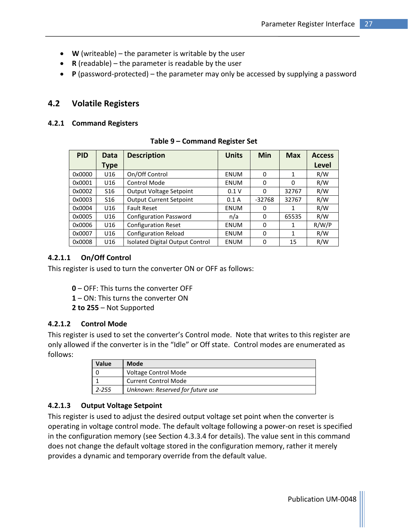- **W** (writeable) the parameter is writable by the user
- **R** (readable) the parameter is readable by the user
- **P** (password-protected) the parameter may only be accessed by supplying a password

#### <span id="page-28-0"></span>**4.2 Volatile Registers**

#### <span id="page-28-5"></span><span id="page-28-1"></span>**4.2.1 Command Registers**

| <b>PID</b> | Data            | <b>Description</b>              | <b>Units</b> | <b>Min</b> | <b>Max</b> | <b>Access</b> |
|------------|-----------------|---------------------------------|--------------|------------|------------|---------------|
|            | Type            |                                 |              |            |            | Level         |
| 0x0000     | U16             | On/Off Control                  | <b>ENUM</b>  | 0          | 1          | R/W           |
| 0x0001     | U16             | <b>Control Mode</b>             | <b>ENUM</b>  | 0          | $\Omega$   | R/W           |
| 0x0002     | S <sub>16</sub> | Output Voltage Setpoint         | 0.1V         | 0          | 32767      | R/W           |
| 0x0003     | S <sub>16</sub> | <b>Output Current Setpoint</b>  | 0.1A         | $-32768$   | 32767      | R/W           |
| 0x0004     | U16             | <b>Fault Reset</b>              | <b>ENUM</b>  | 0          | 1          | R/W           |
| 0x0005     | U16             | <b>Configuration Password</b>   | n/a          | $\Omega$   | 65535      | R/W           |
| 0x0006     | U16             | <b>Configuration Reset</b>      | <b>ENUM</b>  | $\Omega$   | 1          | R/W/P         |
| 0x0007     | U16             | <b>Configuration Reload</b>     | <b>ENUM</b>  | $\Omega$   | 1          | R/W           |
| 0x0008     | U16             | Isolated Digital Output Control | <b>ENUM</b>  | 0          | 15         | R/W           |

#### **Table 9 – Command Register Set**

#### <span id="page-28-2"></span>**4.2.1.1 On/Off Control**

This register is used to turn the converter ON or OFF as follows:

- **0**  OFF: This turns the converter OFF
- **1**  ON: This turns the converter ON
- **2 to 255** Not Supported

#### <span id="page-28-3"></span>**4.2.1.2 Control Mode**

This register is used to set the converter's Control mode. Note that writes to this register are only allowed if the converter is in the "Idle" or Off state. Control modes are enumerated as follows:

| Value | Mode                             |
|-------|----------------------------------|
|       | Voltage Control Mode             |
|       | <b>Current Control Mode</b>      |
| 2-255 | Unknown: Reserved for future use |

#### <span id="page-28-4"></span>**4.2.1.3 Output Voltage Setpoint**

This register is used to adjust the desired output voltage set point when the converter is operating in voltage control mode. The default voltage following a power-on reset is specified in the configuration memory (see Section [4.3.3.4](#page-41-1) for details). The value sent in this command does not change the default voltage stored in the configuration memory, rather it merely provides a dynamic and temporary override from the default value.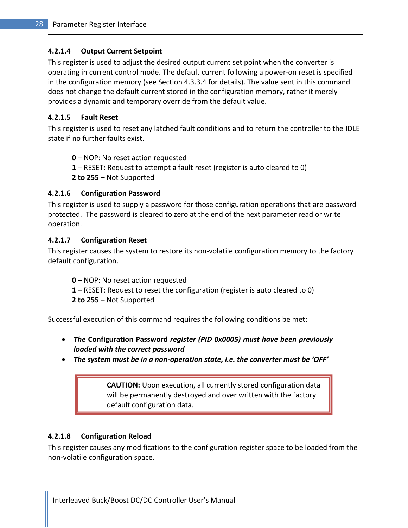#### <span id="page-29-0"></span>**4.2.1.4 Output Current Setpoint**

This register is used to adjust the desired output current set point when the converter is operating in current control mode. The default current following a power-on reset is specified in the configuration memory (see Section [4.3.3.4](#page-41-1) for details). The value sent in this command does not change the default current stored in the configuration memory, rather it merely provides a dynamic and temporary override from the default value.

#### <span id="page-29-1"></span>**4.2.1.5 Fault Reset**

This register is used to reset any latched fault conditions and to return the controller to the IDLE state if no further faults exist.

**0** – NOP: No reset action requested

**1** – RESET: Request to attempt a fault reset (register is auto cleared to 0) **2 to 255** – Not Supported

#### <span id="page-29-2"></span>**4.2.1.6 Configuration Password**

This register is used to supply a password for those configuration operations that are password protected. The password is cleared to zero at the end of the next parameter read or write operation.

#### <span id="page-29-3"></span>**4.2.1.7 Configuration Reset**

This register causes the system to restore its non-volatile configuration memory to the factory default configuration.

**0** – NOP: No reset action requested

**1** – RESET: Request to reset the configuration (register is auto cleared to 0)

**2 to 255** – Not Supported

Successful execution of this command requires the following conditions be met:

- *The* **Configuration Password** *register (PID 0x0005) must have been previously loaded with the correct password*
- *The system must be in a non-operation state, i.e. the converter must be 'OFF'*

**CAUTION:** Upon execution, all currently stored configuration data will be permanently destroyed and over written with the factory default configuration data.

#### <span id="page-29-4"></span>**4.2.1.8 Configuration Reload**

This register causes any modifications to the configuration register space to be loaded from the non-volatile configuration space.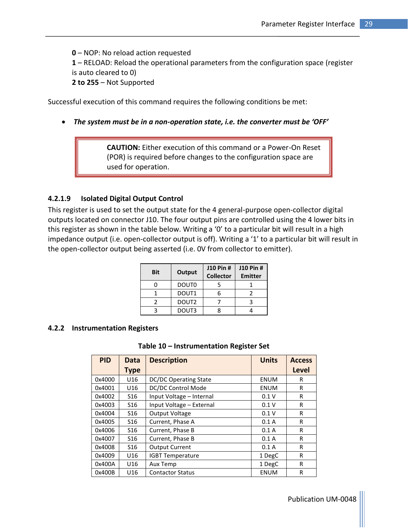**0** – NOP: No reload action requested **1** – RELOAD: Reload the operational parameters from the configuration space (register is auto cleared to 0) **2 to 255** – Not Supported

Successful execution of this command requires the following conditions be met:

*The system must be in a non-operation state, i.e. the converter must be 'OFF'*

**CAUTION:** Either execution of this command or a Power-On Reset (POR) is required before changes to the configuration space are used for operation.

#### <span id="page-30-0"></span>**4.2.1.9 Isolated Digital Output Control**

This register is used to set the output state for the 4 general-purpose open-collector digital outputs located on connector J10. The four output pins are controlled using the 4 lower bits in this register as shown in the table below. Writing a '0' to a particular bit will result in a high impedance output (i.e. open-collector output is off). Writing a '1' to a particular bit will result in the open-collector output being asserted (i.e. 0V from collector to emitter).

| Bit | Output            | J10 Pin #<br><b>Collector</b> | J10 Pin #<br><b>Emitter</b> |
|-----|-------------------|-------------------------------|-----------------------------|
|     | <b>DOUTO</b>      |                               |                             |
|     | DOUT1             |                               |                             |
|     | DOUT <sub>2</sub> |                               |                             |
|     | DOUT3             |                               |                             |

#### <span id="page-30-2"></span><span id="page-30-1"></span>**4.2.2 Instrumentation Registers**

#### **Table 10 – Instrumentation Register Set**

| <b>PID</b> | <b>Data</b>     | <b>Description</b>       | <b>Units</b> | <b>Access</b> |
|------------|-----------------|--------------------------|--------------|---------------|
|            | Type            |                          |              | Level         |
| 0x4000     | U16             | DC/DC Operating State    | <b>ENUM</b>  | R             |
| 0x4001     | U16             | DC/DC Control Mode       | <b>ENUM</b>  | R             |
| 0x4002     | S <sub>16</sub> | Input Voltage - Internal | 0.1V         | R             |
| 0x4003     | S <sub>16</sub> | Input Voltage - External | 0.1V         | R             |
| 0x4004     | S <sub>16</sub> | <b>Output Voltage</b>    | 0.1V         | R             |
| 0x4005     | S <sub>16</sub> | Current, Phase A         | 0.1A         | R             |
| 0x4006     | S <sub>16</sub> | Current, Phase B         | 0.1A         | R             |
| 0x4007     | S <sub>16</sub> | Current, Phase B         | 0.1A         | R             |
| 0x4008     | S <sub>16</sub> | <b>Output Current</b>    | 0.1A         | R             |
| 0x4009     | U <sub>16</sub> | <b>IGBT Temperature</b>  | 1 DegC       | R             |
| 0x400A     | U16             | Aux Temp                 | 1 DegC       | R             |
| 0x400B     | U16             | <b>Contactor Status</b>  | <b>ENUM</b>  | R             |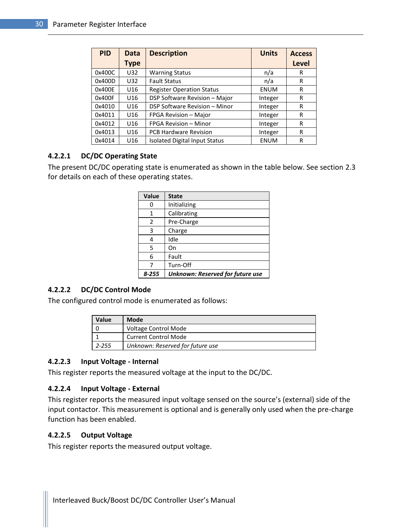| <b>PID</b> | <b>Data</b>     | <b>Description</b>                   | <b>Units</b> | <b>Access</b> |
|------------|-----------------|--------------------------------------|--------------|---------------|
|            | <b>Type</b>     |                                      |              | <b>Level</b>  |
| 0x400C     | U32             | <b>Warning Status</b>                | n/a          | R             |
| 0x400D     | U32             | <b>Fault Status</b>                  | n/a          | R             |
| 0x400E     | U16             | <b>Register Operation Status</b>     | <b>ENUM</b>  | R             |
| 0x400F     | U16             | DSP Software Revision - Major        | Integer      | R             |
| 0x4010     | U <sub>16</sub> | DSP Software Revision - Minor        | Integer      | R             |
| 0x4011     | U16             | FPGA Revision - Major                | Integer      | R             |
| 0x4012     | U <sub>16</sub> | FPGA Revision - Minor                | Integer      | R             |
| 0x4013     | U16             | <b>PCB Hardware Revision</b>         | Integer      | R             |
| 0x4014     | U16             | <b>Isolated Digital Input Status</b> | <b>ENUM</b>  | R             |

#### <span id="page-31-0"></span>**4.2.2.1 DC/DC Operating State**

The present DC/DC operating state is enumerated as shown in the table below. See section [2.3](#page-12-0) for details on each of these operating states.

| <b>Value</b> | <b>State</b>                            |
|--------------|-----------------------------------------|
| 0            | Initializing                            |
| 1            | Calibrating                             |
| 2            | Pre-Charge                              |
| 3            | Charge                                  |
| 4            | Idle                                    |
| 5            | On                                      |
| 6            | Fault                                   |
| 7            | Turn-Off                                |
| 8-255        | <b>Unknown: Reserved for future use</b> |

#### <span id="page-31-1"></span>**4.2.2.2 DC/DC Control Mode**

The configured control mode is enumerated as follows:

| Value     | Mode                             |
|-----------|----------------------------------|
|           | Voltage Control Mode             |
|           | <b>Current Control Mode</b>      |
| $2 - 255$ | Unknown: Reserved for future use |

#### <span id="page-31-2"></span>**4.2.2.3 Input Voltage - Internal**

This register reports the measured voltage at the input to the DC/DC.

#### <span id="page-31-3"></span>**4.2.2.4 Input Voltage - External**

This register reports the measured input voltage sensed on the source's (external) side of the input contactor. This measurement is optional and is generally only used when the pre-charge function has been enabled.

#### <span id="page-31-4"></span>**4.2.2.5 Output Voltage**

This register reports the measured output voltage.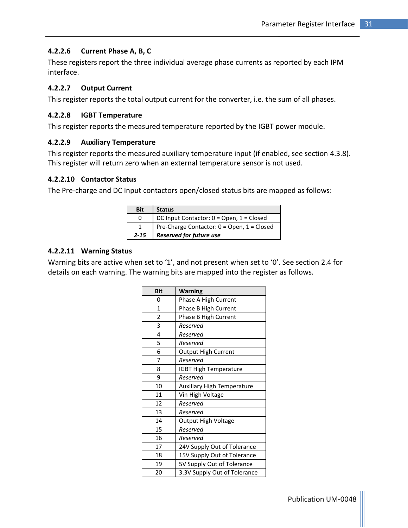#### <span id="page-32-0"></span>**4.2.2.6 Current Phase A, B, C**

These registers report the three individual average phase currents as reported by each IPM interface.

#### <span id="page-32-1"></span>**4.2.2.7 Output Current**

This register reports the total output current for the converter, i.e. the sum of all phases.

#### <span id="page-32-2"></span>**4.2.2.8 IGBT Temperature**

This register reports the measured temperature reported by the IGBT power module.

#### <span id="page-32-3"></span>**4.2.2.9 Auxiliary Temperature**

This register reports the measured auxiliary temperature input (if enabled, see section [4.3.8\)](#page-50-0). This register will return zero when an external temperature sensor is not used.

#### <span id="page-32-4"></span>**4.2.2.10 Contactor Status**

The Pre-charge and DC Input contactors open/closed status bits are mapped as follows:

| Bit      | <b>Status</b>                              |
|----------|--------------------------------------------|
| $\Omega$ | DC Input Contactor: 0 = Open, 1 = Closed   |
|          | Pre-Charge Contactor: 0 = Open, 1 = Closed |
| $2 - 15$ | <b>Reserved for future use</b>             |

#### <span id="page-32-5"></span>**4.2.2.11 Warning Status**

Warning bits are active when set to '1', and not present when set to '0'. See section [2.4](#page-13-5) for details on each warning. The warning bits are mapped into the register as follows.

| <b>Bit</b>   | <b>Warning</b>                    |
|--------------|-----------------------------------|
| 0            | Phase A High Current              |
| $\mathbf{1}$ | Phase B High Current              |
| 2            | Phase B High Current              |
| 3            | Reserved                          |
| 4            | Reserved                          |
| 5            | Reserved                          |
| 6            | <b>Output High Current</b>        |
| 7            | Reserved                          |
| 8            | <b>IGBT High Temperature</b>      |
| 9            | Reserved                          |
| 10           | <b>Auxiliary High Temperature</b> |
| 11           | Vin High Voltage                  |
| 12           | Reserved                          |
| 13           | Reserved                          |
| 14           | Output High Voltage               |
| 15           | Reserved                          |
| 16           | Reserved                          |
| 17           | 24V Supply Out of Tolerance       |
| 18           | 15V Supply Out of Tolerance       |
| 19           | 5V Supply Out of Tolerance        |
| 20           | 3.3V Supply Out of Tolerance      |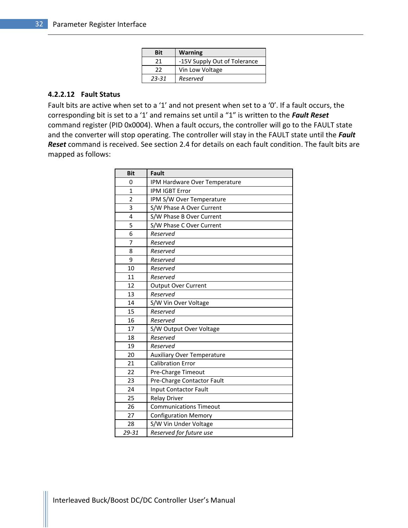| Bit   | <b>Warning</b>               |
|-------|------------------------------|
| 21    | -15V Supply Out of Tolerance |
| 22    | Vin Low Voltage              |
| 23-31 | Reserved                     |

#### <span id="page-33-0"></span>**4.2.2.12 Fault Status**

Fault bits are active when set to a '1' and not present when set to a '0'. If a fault occurs, the corresponding bit is set to a '1' and remains set until a "1" is written to the *Fault Reset* command register (PID 0x0004). When a fault occurs, the controller will go to the FAULT state and the converter will stop operating. The controller will stay in the FAULT state until the *Fault Reset* command is received. See section [2.4](#page-13-5) for details on each fault condition. The fault bits are mapped as follows:

| <b>Bit</b>     | <b>Fault</b>                      |
|----------------|-----------------------------------|
| 0              | IPM Hardware Over Temperature     |
| $\mathbf{1}$   | <b>IPM IGBT Error</b>             |
| $\overline{2}$ | IPM S/W Over Temperature          |
| 3              | S/W Phase A Over Current          |
| 4              | S/W Phase B Over Current          |
| 5              | S/W Phase C Over Current          |
| 6              | Reserved                          |
| 7              | Reserved                          |
| 8              | Reserved                          |
| 9              | Reserved                          |
| 10             | Reserved                          |
| 11             | Reserved                          |
| 12             | Output Over Current               |
| 13             | Reserved                          |
| 14             | S/W Vin Over Voltage              |
| 15             | Reserved                          |
| 16             | Reserved                          |
| 17             | S/W Output Over Voltage           |
| 18             | Reserved                          |
| 19             | Reserved                          |
| 20             | <b>Auxiliary Over Temperature</b> |
| 21             | <b>Calibration Error</b>          |
| 22             | Pre-Charge Timeout                |
| 23             | Pre-Charge Contactor Fault        |
| 24             | <b>Input Contactor Fault</b>      |
| 25             | <b>Relay Driver</b>               |
| 26             | <b>Communications Timeout</b>     |
| 27             | <b>Configuration Memory</b>       |
| 28             | S/W Vin Under Voltage             |
| 29-31          | Reserved for future use           |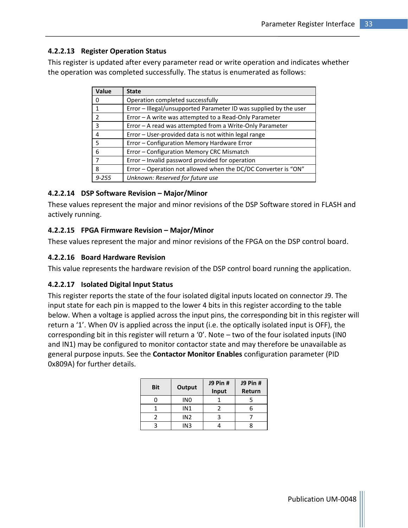#### <span id="page-34-0"></span>**4.2.2.13 Register Operation Status**

This register is updated after every parameter read or write operation and indicates whether the operation was completed successfully. The status is enumerated as follows:

| <b>Value</b>   | <b>State</b>                                                      |
|----------------|-------------------------------------------------------------------|
| 0              | Operation completed successfully                                  |
| 1              | Error - Illegal/unsupported Parameter ID was supplied by the user |
| 2              | Error – A write was attempted to a Read-Only Parameter            |
| 3              | Error – A read was attempted from a Write-Only Parameter          |
| 4              | Error - User-provided data is not within legal range              |
| 5              | Error - Configuration Memory Hardware Error                       |
| 6              | Error - Configuration Memory CRC Mismatch                         |
| $\overline{7}$ | Error - Invalid password provided for operation                   |
| 8              | Error - Operation not allowed when the DC/DC Converter is "ON"    |
| $9 - 255$      | Unknown: Reserved for future use                                  |

#### <span id="page-34-1"></span>**4.2.2.14 DSP Software Revision – Major/Minor**

These values represent the major and minor revisions of the DSP Software stored in FLASH and actively running.

#### <span id="page-34-2"></span>**4.2.2.15 FPGA Firmware Revision – Major/Minor**

These values represent the major and minor revisions of the FPGA on the DSP control board.

#### <span id="page-34-3"></span>**4.2.2.16 Board Hardware Revision**

This value represents the hardware revision of the DSP control board running the application.

#### <span id="page-34-4"></span>**4.2.2.17 Isolated Digital Input Status**

This register reports the state of the four isolated digital inputs located on connector J9. The input state for each pin is mapped to the lower 4 bits in this register according to the table below. When a voltage is applied across the input pins, the corresponding bit in this register will return a '1'. When 0V is applied across the input (i.e. the optically isolated input is OFF), the corresponding bit in this register will return a '0'. Note – two of the four isolated inputs (IN0 and IN1) may be configured to monitor contactor state and may therefore be unavailable as general purpose inputs. See the **Contactor Monitor Enables** configuration parameter (PID 0x809A) for further details.

| <b>Bit</b> | Output          | <b>J9 Pin #</b><br>Input | <b>J9 Pin #</b><br>Return |
|------------|-----------------|--------------------------|---------------------------|
|            | IN <sub>0</sub> |                          |                           |
|            | IN <sub>1</sub> |                          |                           |
|            | IN <sub>2</sub> |                          |                           |
|            | IN <sub>3</sub> |                          |                           |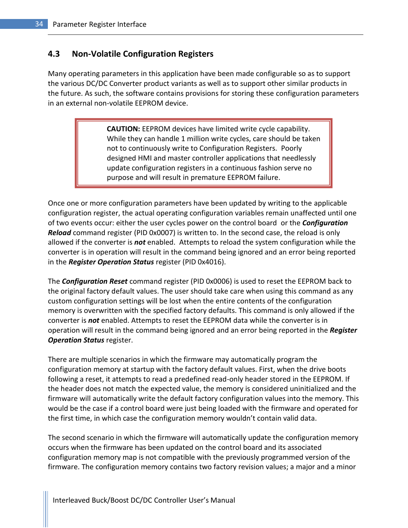#### <span id="page-35-0"></span>**4.3 Non-Volatile Configuration Registers**

Many operating parameters in this application have been made configurable so as to support the various DC/DC Converter product variants as well as to support other similar products in the future. As such, the software contains provisions for storing these configuration parameters in an external non-volatile EEPROM device.

> **CAUTION:** EEPROM devices have limited write cycle capability. While they can handle 1 million write cycles, care should be taken not to continuously write to Configuration Registers. Poorly designed HMI and master controller applications that needlessly update configuration registers in a continuous fashion serve no purpose and will result in premature EEPROM failure.

Once one or more configuration parameters have been updated by writing to the applicable configuration register, the actual operating configuration variables remain unaffected until one of two events occur: either the user cycles power on the control board or the *Configuration Reload* command register (PID 0x0007) is written to. In the second case, the reload is only allowed if the converter is *not* enabled. Attempts to reload the system configuration while the converter is in operation will result in the command being ignored and an error being reported in the *Register Operation Status* register (PID 0x4016).

The *Configuration Reset* command register (PID 0x0006) is used to reset the EEPROM back to the original factory default values. The user should take care when using this command as any custom configuration settings will be lost when the entire contents of the configuration memory is overwritten with the specified factory defaults. This command is only allowed if the converter is *not* enabled. Attempts to reset the EEPROM data while the converter is in operation will result in the command being ignored and an error being reported in the *Register Operation Status* register.

There are multiple scenarios in which the firmware may automatically program the configuration memory at startup with the factory default values. First, when the drive boots following a reset, it attempts to read a predefined read-only header stored in the EEPROM. If the header does not match the expected value, the memory is considered uninitialized and the firmware will automatically write the default factory configuration values into the memory. This would be the case if a control board were just being loaded with the firmware and operated for the first time, in which case the configuration memory wouldn't contain valid data.

The second scenario in which the firmware will automatically update the configuration memory occurs when the firmware has been updated on the control board and its associated configuration memory map is not compatible with the previously programmed version of the firmware. The configuration memory contains two factory revision values; a major and a minor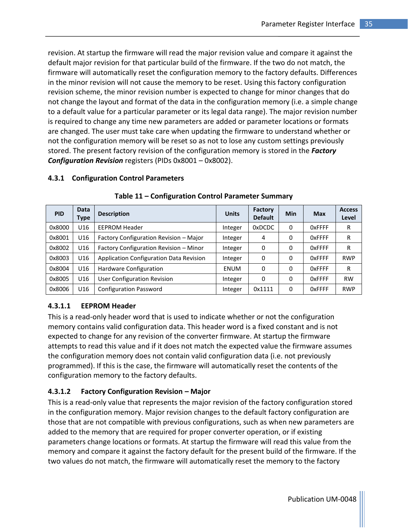revision. At startup the firmware will read the major revision value and compare it against the default major revision for that particular build of the firmware. If the two do not match, the firmware will automatically reset the configuration memory to the factory defaults. Differences in the minor revision will not cause the memory to be reset. Using this factory configuration revision scheme, the minor revision number is expected to change for minor changes that do not change the layout and format of the data in the configuration memory (i.e. a simple change to a default value for a particular parameter or its legal data range). The major revision number is required to change any time new parameters are added or parameter locations or formats are changed. The user must take care when updating the firmware to understand whether or not the configuration memory will be reset so as not to lose any custom settings previously stored. The present factory revision of the configuration memory is stored in the *Factory Configuration Revision* registers (PIDs 0x8001 – 0x8002).

#### <span id="page-36-0"></span>**4.3.1 Configuration Control Parameters**

<span id="page-36-3"></span>

| <b>PID</b> | <b>Data</b><br>Type | <b>Description</b>                      | <b>Units</b> | Factory<br><b>Default</b> | Min      | <b>Max</b>    | <b>Access</b><br>Level |
|------------|---------------------|-----------------------------------------|--------------|---------------------------|----------|---------------|------------------------|
| 0x8000     | U16                 | <b>EEPROM Header</b>                    | Integer      | 0xDCDC                    | 0        | <b>OxFFFF</b> | R                      |
| 0x8001     | U16                 | Factory Configuration Revision - Major  | Integer      | 4                         | 0        | <b>OxFFFF</b> | R                      |
| 0x8002     | U16                 | Factory Configuration Revision - Minor  | Integer      | 0                         | $\Omega$ | <b>OxFFFF</b> | R                      |
| 0x8003     | U16                 | Application Configuration Data Revision | Integer      | 0                         | $\Omega$ | <b>OxFFFF</b> | <b>RWP</b>             |
| 0x8004     | U16                 | Hardware Configuration                  | <b>ENUM</b>  | 0                         | 0        | <b>OxFFFF</b> | R                      |
| 0x8005     | U16                 | User Configuration Revision             | Integer      | 0                         | 0        | <b>OxFFFF</b> | <b>RW</b>              |
| 0x8006     | U16                 | <b>Configuration Password</b>           | Integer      | 0x1111                    | $\Omega$ | <b>OxFFFF</b> | <b>RWP</b>             |

#### **Table 11 – Configuration Control Parameter Summary**

#### <span id="page-36-1"></span>**4.3.1.1 EEPROM Header**

This is a read-only header word that is used to indicate whether or not the configuration memory contains valid configuration data. This header word is a fixed constant and is not expected to change for any revision of the converter firmware. At startup the firmware attempts to read this value and if it does not match the expected value the firmware assumes the configuration memory does not contain valid configuration data (i.e. not previously programmed). If this is the case, the firmware will automatically reset the contents of the configuration memory to the factory defaults.

#### <span id="page-36-2"></span>**4.3.1.2 Factory Configuration Revision – Major**

This is a read-only value that represents the major revision of the factory configuration stored in the configuration memory. Major revision changes to the default factory configuration are those that are not compatible with previous configurations, such as when new parameters are added to the memory that are required for proper converter operation, or if existing parameters change locations or formats. At startup the firmware will read this value from the memory and compare it against the factory default for the present build of the firmware. If the two values do not match, the firmware will automatically reset the memory to the factory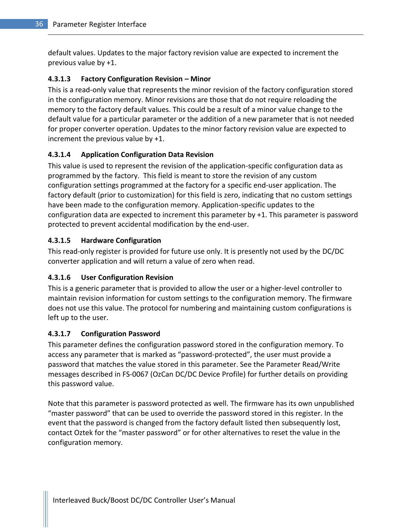default values. Updates to the major factory revision value are expected to increment the previous value by +1.

#### <span id="page-37-0"></span>**4.3.1.3 Factory Configuration Revision – Minor**

This is a read-only value that represents the minor revision of the factory configuration stored in the configuration memory. Minor revisions are those that do not require reloading the memory to the factory default values. This could be a result of a minor value change to the default value for a particular parameter or the addition of a new parameter that is not needed for proper converter operation. Updates to the minor factory revision value are expected to increment the previous value by +1.

#### <span id="page-37-1"></span>**4.3.1.4 Application Configuration Data Revision**

This value is used to represent the revision of the application-specific configuration data as programmed by the factory. This field is meant to store the revision of any custom configuration settings programmed at the factory for a specific end-user application. The factory default (prior to customization) for this field is zero, indicating that no custom settings have been made to the configuration memory. Application-specific updates to the configuration data are expected to increment this parameter by +1. This parameter is password protected to prevent accidental modification by the end-user.

#### <span id="page-37-2"></span>**4.3.1.5 Hardware Configuration**

This read-only register is provided for future use only. It is presently not used by the DC/DC converter application and will return a value of zero when read.

#### <span id="page-37-3"></span>**4.3.1.6 User Configuration Revision**

This is a generic parameter that is provided to allow the user or a higher-level controller to maintain revision information for custom settings to the configuration memory. The firmware does not use this value. The protocol for numbering and maintaining custom configurations is left up to the user.

#### <span id="page-37-4"></span>**4.3.1.7 Configuration Password**

This parameter defines the configuration password stored in the configuration memory. To access any parameter that is marked as "password-protected", the user must provide a password that matches the value stored in this parameter. See the Parameter Read/Write messages described in FS-0067 (OzCan DC/DC Device Profile) for further details on providing this password value.

Note that this parameter is password protected as well. The firmware has its own unpublished "master password" that can be used to override the password stored in this register. In the event that the password is changed from the factory default listed then subsequently lost, contact Oztek for the "master password" or for other alternatives to reset the value in the configuration memory.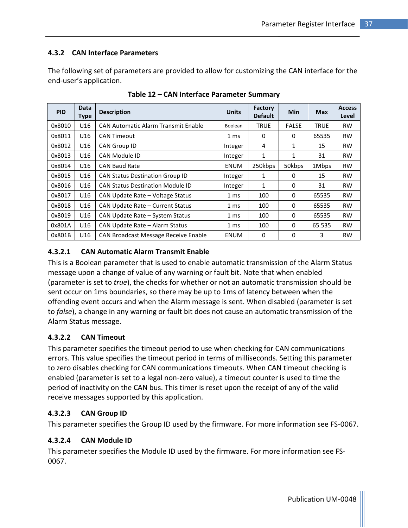#### <span id="page-38-0"></span>**4.3.2 CAN Interface Parameters**

The following set of parameters are provided to allow for customizing the CAN interface for the end-user's application.

<span id="page-38-5"></span>

| <b>PID</b> | Data<br>Type | <b>Description</b>                         | <b>Units</b>    | Factory<br><b>Default</b> | <b>Min</b>   | <b>Max</b>  | <b>Access</b><br>Level |
|------------|--------------|--------------------------------------------|-----------------|---------------------------|--------------|-------------|------------------------|
| 0x8010     | U16          | <b>CAN Automatic Alarm Transmit Enable</b> | Boolean         | <b>TRUE</b>               | <b>FALSE</b> | <b>TRUE</b> | <b>RW</b>              |
| 0x8011     | U16          | <b>CAN Timeout</b>                         | 1 ms            | 0                         | 0            | 65535       | <b>RW</b>              |
| 0x8012     | U16          | CAN Group ID                               | Integer         | 4                         | 1            | 15          | <b>RW</b>              |
| 0x8013     | U16          | CAN Module ID                              | Integer         | 1                         | 1            | 31          | <b>RW</b>              |
| 0x8014     | U16          | <b>CAN Baud Rate</b>                       | <b>ENUM</b>     | 250kbps                   | 50kbps       | 1Mbps       | <b>RW</b>              |
| 0x8015     | U16          | <b>CAN Status Destination Group ID</b>     | Integer         | 1                         | 0            | 15          | <b>RW</b>              |
| 0x8016     | U16          | <b>CAN Status Destination Module ID</b>    | Integer         | 1                         | 0            | 31          | <b>RW</b>              |
| 0x8017     | U16          | CAN Update Rate - Voltage Status           | 1 <sub>ms</sub> | 100                       | $\Omega$     | 65535       | <b>RW</b>              |
| 0x8018     | U16          | CAN Update Rate - Current Status           | 1 <sub>ms</sub> | 100                       | $\Omega$     | 65535       | <b>RW</b>              |
| 0x8019     | U16          | CAN Update Rate - System Status            | 1 ms            | 100                       | 0            | 65535       | <b>RW</b>              |
| 0x801A     | U16          | CAN Update Rate - Alarm Status             | 1 ms            | 100                       | 0            | 65.535      | <b>RW</b>              |
| 0x801B     | U16          | CAN Broadcast Message Receive Enable       | <b>ENUM</b>     | $\Omega$                  | 0            | 3           | <b>RW</b>              |

**Table 12 – CAN Interface Parameter Summary**

#### <span id="page-38-1"></span>**4.3.2.1 CAN Automatic Alarm Transmit Enable**

This is a Boolean parameter that is used to enable automatic transmission of the Alarm Status message upon a change of value of any warning or fault bit. Note that when enabled (parameter is set to *true*), the checks for whether or not an automatic transmission should be sent occur on 1ms boundaries, so there may be up to 1ms of latency between when the offending event occurs and when the Alarm message is sent. When disabled (parameter is set to *false*), a change in any warning or fault bit does not cause an automatic transmission of the Alarm Status message.

#### <span id="page-38-2"></span>**4.3.2.2 CAN Timeout**

This parameter specifies the timeout period to use when checking for CAN communications errors. This value specifies the timeout period in terms of milliseconds. Setting this parameter to zero disables checking for CAN communications timeouts. When CAN timeout checking is enabled (parameter is set to a legal non-zero value), a timeout counter is used to time the period of inactivity on the CAN bus. This timer is reset upon the receipt of any of the valid receive messages supported by this application.

#### <span id="page-38-3"></span>**4.3.2.3 CAN Group ID**

This parameter specifies the Group ID used by the firmware. For more information see FS-0067.

#### <span id="page-38-4"></span>**4.3.2.4 CAN Module ID**

This parameter specifies the Module ID used by the firmware. For more information see FS-0067.

Publication UM-0048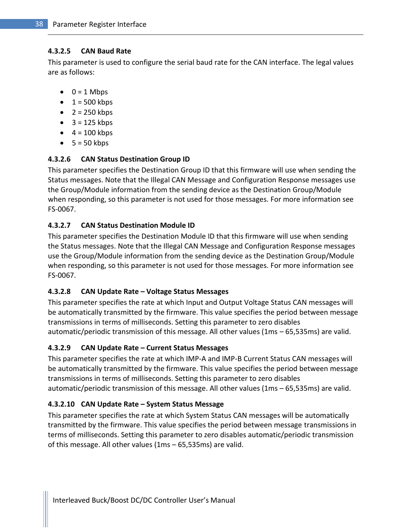#### <span id="page-39-0"></span>**4.3.2.5 CAN Baud Rate**

This parameter is used to configure the serial baud rate for the CAN interface. The legal values are as follows:

- $0 = 1$  Mbps
- $\bullet$  1 = 500 kbps
- $2 = 250$  kbps
- $-3 = 125$  kbps
- $\bullet$  4 = 100 kbps
- $-5 = 50$  kbps

#### <span id="page-39-1"></span>**4.3.2.6 CAN Status Destination Group ID**

This parameter specifies the Destination Group ID that this firmware will use when sending the Status messages. Note that the Illegal CAN Message and Configuration Response messages use the Group/Module information from the sending device as the Destination Group/Module when responding, so this parameter is not used for those messages. For more information see FS-0067.

#### <span id="page-39-2"></span>**4.3.2.7 CAN Status Destination Module ID**

This parameter specifies the Destination Module ID that this firmware will use when sending the Status messages. Note that the Illegal CAN Message and Configuration Response messages use the Group/Module information from the sending device as the Destination Group/Module when responding, so this parameter is not used for those messages. For more information see FS-0067.

#### <span id="page-39-3"></span>**4.3.2.8 CAN Update Rate – Voltage Status Messages**

This parameter specifies the rate at which Input and Output Voltage Status CAN messages will be automatically transmitted by the firmware. This value specifies the period between message transmissions in terms of milliseconds. Setting this parameter to zero disables automatic/periodic transmission of this message. All other values (1ms – 65,535ms) are valid.

#### <span id="page-39-4"></span>**4.3.2.9 CAN Update Rate – Current Status Messages**

This parameter specifies the rate at which IMP-A and IMP-B Current Status CAN messages will be automatically transmitted by the firmware. This value specifies the period between message transmissions in terms of milliseconds. Setting this parameter to zero disables automatic/periodic transmission of this message. All other values (1ms – 65,535ms) are valid.

#### <span id="page-39-5"></span>**4.3.2.10 CAN Update Rate – System Status Message**

This parameter specifies the rate at which System Status CAN messages will be automatically transmitted by the firmware. This value specifies the period between message transmissions in terms of milliseconds. Setting this parameter to zero disables automatic/periodic transmission of this message. All other values (1ms – 65,535ms) are valid.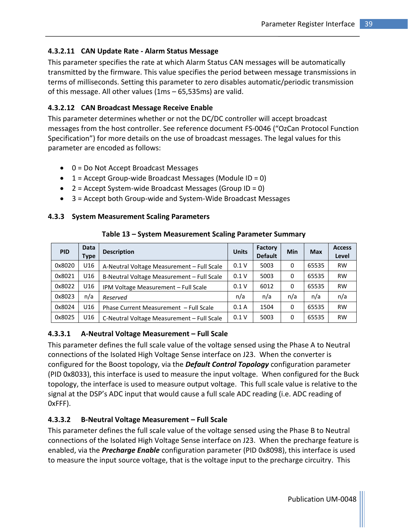#### <span id="page-40-0"></span>**4.3.2.11 CAN Update Rate - Alarm Status Message**

This parameter specifies the rate at which Alarm Status CAN messages will be automatically transmitted by the firmware. This value specifies the period between message transmissions in terms of milliseconds. Setting this parameter to zero disables automatic/periodic transmission of this message. All other values (1ms – 65,535ms) are valid.

#### <span id="page-40-1"></span>**4.3.2.12 CAN Broadcast Message Receive Enable**

This parameter determines whether or not the DC/DC controller will accept broadcast messages from the host controller. See reference document FS-0046 ("OzCan Protocol Function Specification") for more details on the use of broadcast messages. The legal values for this parameter are encoded as follows:

- 0 = Do Not Accept Broadcast Messages
- $\bullet$  1 = Accept Group-wide Broadcast Messages (Module ID = 0)
- $\bullet$  2 = Accept System-wide Broadcast Messages (Group ID = 0)
- 3 = Accept both Group-wide and System-Wide Broadcast Messages

#### <span id="page-40-2"></span>**4.3.3 System Measurement Scaling Parameters**

<span id="page-40-5"></span>

| <b>PID</b> | <b>Data</b><br>Type | <b>Description</b>                         | <b>Units</b> | Factory<br><b>Default</b> | Min | <b>Max</b> | <b>Access</b><br>Level |
|------------|---------------------|--------------------------------------------|--------------|---------------------------|-----|------------|------------------------|
| 0x8020     | U16                 | A-Neutral Voltage Measurement - Full Scale | 0.1V         | 5003                      | 0   | 65535      | <b>RW</b>              |
| 0x8021     | U16                 | B-Neutral Voltage Measurement - Full Scale | 0.1V         | 5003                      | 0   | 65535      | <b>RW</b>              |
| 0x8022     | U16                 | IPM Voltage Measurement - Full Scale       | 0.1V         | 6012                      | 0   | 65535      | <b>RW</b>              |
| 0x8023     | n/a                 | Reserved                                   | n/a          | n/a                       | n/a | n/a        | n/a                    |
| 0x8024     | U16                 | Phase Current Measurement - Full Scale     | 0.1A         | 1504                      | 0   | 65535      | <b>RW</b>              |
| 0x8025     | U16                 | C-Neutral Voltage Measurement - Full Scale | 0.1V         | 5003                      | 0   | 65535      | <b>RW</b>              |

#### **Table 13 – System Measurement Scaling Parameter Summary**

#### <span id="page-40-3"></span>**4.3.3.1 A-Neutral Voltage Measurement – Full Scale**

This parameter defines the full scale value of the voltage sensed using the Phase A to Neutral connections of the Isolated High Voltage Sense interface on J23. When the converter is configured for the Boost topology, via the *Default Control Topology* configuration parameter (PID 0x8033), this interface is used to measure the input voltage. When configured for the Buck topology, the interface is used to measure output voltage. This full scale value is relative to the signal at the DSP's ADC input that would cause a full scale ADC reading (i.e. ADC reading of 0xFFF).

#### <span id="page-40-4"></span>**4.3.3.2 B-Neutral Voltage Measurement – Full Scale**

This parameter defines the full scale value of the voltage sensed using the Phase B to Neutral connections of the Isolated High Voltage Sense interface on J23. When the precharge feature is enabled, via the *Precharge Enable* configuration parameter (PID 0x8098), this interface is used to measure the input source voltage, that is the voltage input to the precharge circuitry. This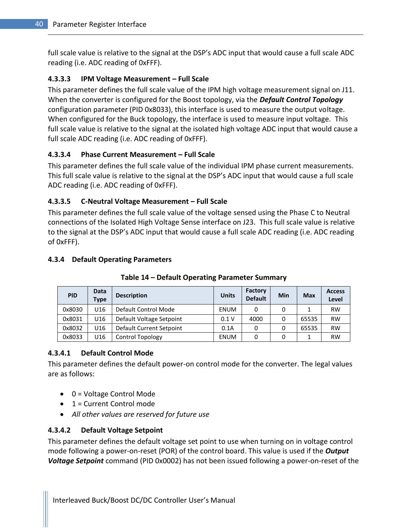full scale value is relative to the signal at the DSP's ADC input that would cause a full scale ADC reading (i.e. ADC reading of 0xFFF).

#### <span id="page-41-0"></span>**4.3.3.3 IPM Voltage Measurement – Full Scale**

This parameter defines the full scale value of the IPM high voltage measurement signal on J11. When the converter is configured for the Boost topology, via the *Default Control Topology* configuration parameter (PID 0x8033), this interface is used to measure the output voltage. When configured for the Buck topology, the interface is used to measure input voltage. This full scale value is relative to the signal at the isolated high voltage ADC input that would cause a full scale ADC reading (i.e. ADC reading of 0xFFF).

#### <span id="page-41-1"></span>**4.3.3.4 Phase Current Measurement – Full Scale**

This parameter defines the full scale value of the individual IPM phase current measurements. This full scale value is relative to the signal at the DSP's ADC input that would cause a full scale ADC reading (i.e. ADC reading of 0xFFF).

#### <span id="page-41-2"></span>**4.3.3.5 C-Neutral Voltage Measurement – Full Scale**

This parameter defines the full scale value of the voltage sensed using the Phase C to Neutral connections of the Isolated High Voltage Sense interface on J23. This full scale value is relative to the signal at the DSP's ADC input that would cause a full scale ADC reading (i.e. ADC reading of 0xFFF).

#### <span id="page-41-3"></span>**4.3.4 Default Operating Parameters**

<span id="page-41-6"></span>

| <b>PID</b> | <b>Data</b><br><b>Type</b> | <b>Description</b>       | <b>Units</b> | <b>Factory</b><br><b>Default</b> | Min | <b>Max</b> | <b>Access</b><br>Level |
|------------|----------------------------|--------------------------|--------------|----------------------------------|-----|------------|------------------------|
| 0x8030     | U16                        | Default Control Mode     | <b>ENUM</b>  | 0                                | 0   |            | <b>RW</b>              |
| 0x8031     | U16                        | Default Voltage Setpoint | 0.1V         | 4000                             | 0   | 65535      | <b>RW</b>              |
| 0x8032     | U16                        | Default Current Setpoint | 0.1A         | 0                                | 0   | 65535      | <b>RW</b>              |
| 0x8033     | U16                        | Control Topology         | <b>ENUM</b>  | 0                                | 0   | 1          | <b>RW</b>              |

#### **Table 14 – Default Operating Parameter Summary**

#### <span id="page-41-4"></span>**4.3.4.1 Default Control Mode**

This parameter defines the default power-on control mode for the converter. The legal values are as follows:

- $\bullet$  0 = Voltage Control Mode
- $\bullet$  1 = Current Control mode
- *All other values are reserved for future use*

#### <span id="page-41-5"></span>**4.3.4.2 Default Voltage Setpoint**

This parameter defines the default voltage set point to use when turning on in voltage control mode following a power-on-reset (POR) of the control board. This value is used if the *Output Voltage Setpoint* command (PID 0x0002) has not been issued following a power-on-reset of the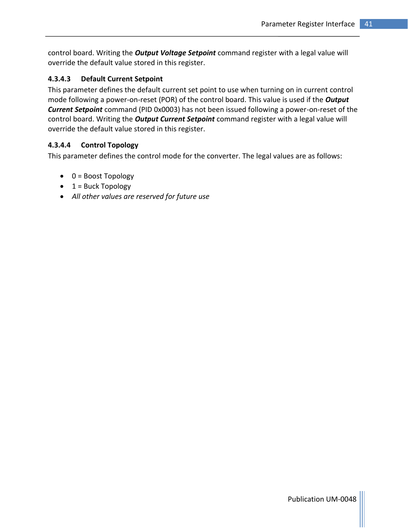control board. Writing the *Output Voltage Setpoint* command register with a legal value will override the default value stored in this register.

#### <span id="page-42-0"></span>**4.3.4.3 Default Current Setpoint**

This parameter defines the default current set point to use when turning on in current control mode following a power-on-reset (POR) of the control board. This value is used if the *Output Current Setpoint* command (PID 0x0003) has not been issued following a power-on-reset of the control board. Writing the *Output Current Setpoint* command register with a legal value will override the default value stored in this register.

#### <span id="page-42-1"></span>**4.3.4.4 Control Topology**

This parameter defines the control mode for the converter. The legal values are as follows:

- $0 =$  Boost Topology
- $\bullet$  1 = Buck Topology
- *All other values are reserved for future use*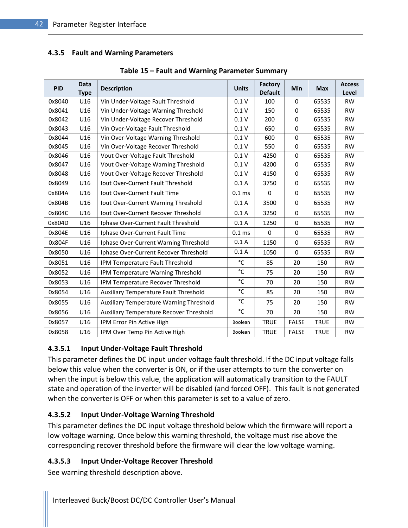#### <span id="page-43-0"></span>**4.3.5 Fault and Warning Parameters**

<span id="page-43-4"></span>

| <b>PID</b> | <b>Data</b><br><b>Type</b> | <b>Description</b>                      | <b>Units</b>      | Factory<br><b>Default</b> | Min          | <b>Max</b>  | <b>Access</b><br>Level |
|------------|----------------------------|-----------------------------------------|-------------------|---------------------------|--------------|-------------|------------------------|
| 0x8040     | U16                        | Vin Under-Voltage Fault Threshold       | 0.1V              | 100                       | $\Omega$     | 65535       | <b>RW</b>              |
| 0x8041     | U16                        | Vin Under-Voltage Warning Threshold     | 0.1V              | 150                       | $\Omega$     | 65535       | <b>RW</b>              |
| 0x8042     | U16                        | Vin Under-Voltage Recover Threshold     | 0.1V              | 200                       | $\Omega$     | 65535       | <b>RW</b>              |
| 0x8043     | U16                        | Vin Over-Voltage Fault Threshold        | 0.1V              | 650                       | $\mathbf 0$  | 65535       | <b>RW</b>              |
| 0x8044     | U16                        | Vin Over-Voltage Warning Threshold      | 0.1V              | 600                       | $\Omega$     | 65535       | <b>RW</b>              |
| 0x8045     | U16                        | Vin Over-Voltage Recover Threshold      | 0.1V              | 550                       | $\Omega$     | 65535       | <b>RW</b>              |
| 0x8046     | U16                        | Vout Over-Voltage Fault Threshold       | 0.1V              | 4250                      | $\mathbf 0$  | 65535       | <b>RW</b>              |
| 0x8047     | U16                        | Vout Over-Voltage Warning Threshold     | 0.1V              | 4200                      | $\Omega$     | 65535       | <b>RW</b>              |
| 0x8048     | U16                        | Vout Over-Voltage Recover Threshold     | 0.1V              | 4150                      | $\mathbf 0$  | 65535       | <b>RW</b>              |
| 0x8049     | U16                        | lout Over-Current Fault Threshold       | 0.1A              | 3750                      | $\mathbf 0$  | 65535       | <b>RW</b>              |
| 0x804A     | U16                        | lout Over-Current Fault Time            | 0.1 <sub>ms</sub> | $\Omega$                  | $\Omega$     | 65535       | <b>RW</b>              |
| 0x804B     | U16                        | lout Over-Current Warning Threshold     | 0.1A              | 3500                      | $\mathbf 0$  | 65535       | <b>RW</b>              |
| 0x804C     | U16                        | lout Over-Current Recover Threshold     | 0.1A              | 3250                      | $\mathbf 0$  | 65535       | <b>RW</b>              |
| 0x804D     | U16                        | Iphase Over-Current Fault Threshold     | 0.1A              | 1250                      | $\Omega$     | 65535       | <b>RW</b>              |
| 0x804E     | U16                        | Iphase Over-Current Fault Time          | 0.1 <sub>ms</sub> | $\mathbf 0$               | $\Omega$     | 65535       | <b>RW</b>              |
| 0x804F     | U16                        | Iphase Over-Current Warning Threshold   | 0.1A              | 1150                      | $\mathbf 0$  | 65535       | <b>RW</b>              |
| 0x8050     | U16                        | Iphase Over-Current Recover Threshold   | 0.1A              | 1050                      | $\mathbf 0$  | 65535       | <b>RW</b>              |
| 0x8051     | U16                        | IPM Temperature Fault Threshold         | °C                | 85                        | 20           | 150         | <b>RW</b>              |
| 0x8052     | U16                        | IPM Temperature Warning Threshold       | °C                | 75                        | 20           | 150         | <b>RW</b>              |
| 0x8053     | U16                        | IPM Temperature Recover Threshold       | °C                | 70                        | 20           | 150         | <b>RW</b>              |
| 0x8054     | U16                        | Auxiliary Temperature Fault Threshold   | °C                | 85                        | 20           | 150         | <b>RW</b>              |
| 0x8055     | U16                        | Auxiliary Temperature Warning Threshold | °C                | 75                        | 20           | 150         | <b>RW</b>              |
| 0x8056     | U16                        | Auxiliary Temperature Recover Threshold | °C                | 70                        | 20           | 150         | <b>RW</b>              |
| 0x8057     | U16                        | IPM Error Pin Active High               | Boolean           | <b>TRUE</b>               | <b>FALSE</b> | <b>TRUE</b> | <b>RW</b>              |
| 0x8058     | U16                        | IPM Over Temp Pin Active High           | Boolean           | <b>TRUE</b>               | <b>FALSE</b> | <b>TRUE</b> | <b>RW</b>              |

#### **Table 15 – Fault and Warning Parameter Summary**

#### <span id="page-43-1"></span>**4.3.5.1 Input Under-Voltage Fault Threshold**

This parameter defines the DC input under voltage fault threshold. If the DC input voltage falls below this value when the converter is ON, or if the user attempts to turn the converter on when the input is below this value, the application will automatically transition to the FAULT state and operation of the inverter will be disabled (and forced OFF). This fault is not generated when the converter is OFF or when this parameter is set to a value of zero.

#### <span id="page-43-2"></span>**4.3.5.2 Input Under-Voltage Warning Threshold**

This parameter defines the DC input voltage threshold below which the firmware will report a low voltage warning. Once below this warning threshold, the voltage must rise above the corresponding recover threshold before the firmware will clear the low voltage warning.

#### <span id="page-43-3"></span>**4.3.5.3 Input Under-Voltage Recover Threshold**

See warning threshold description above.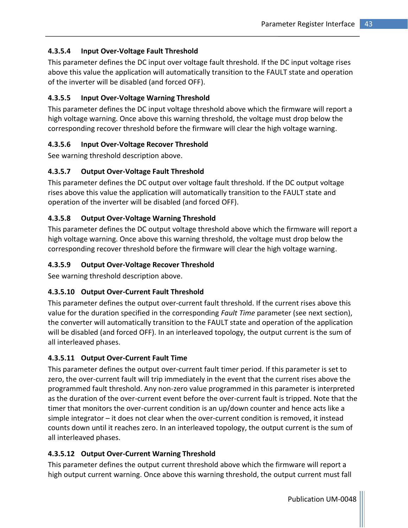#### <span id="page-44-0"></span>**4.3.5.4 Input Over-Voltage Fault Threshold**

This parameter defines the DC input over voltage fault threshold. If the DC input voltage rises above this value the application will automatically transition to the FAULT state and operation of the inverter will be disabled (and forced OFF).

#### <span id="page-44-1"></span>**4.3.5.5 Input Over-Voltage Warning Threshold**

This parameter defines the DC input voltage threshold above which the firmware will report a high voltage warning. Once above this warning threshold, the voltage must drop below the corresponding recover threshold before the firmware will clear the high voltage warning.

#### <span id="page-44-2"></span>**4.3.5.6 Input Over-Voltage Recover Threshold**

See warning threshold description above.

#### <span id="page-44-3"></span>**4.3.5.7 Output Over-Voltage Fault Threshold**

This parameter defines the DC output over voltage fault threshold. If the DC output voltage rises above this value the application will automatically transition to the FAULT state and operation of the inverter will be disabled (and forced OFF).

#### <span id="page-44-4"></span>**4.3.5.8 Output Over-Voltage Warning Threshold**

This parameter defines the DC output voltage threshold above which the firmware will report a high voltage warning. Once above this warning threshold, the voltage must drop below the corresponding recover threshold before the firmware will clear the high voltage warning.

#### <span id="page-44-5"></span>**4.3.5.9 Output Over-Voltage Recover Threshold**

See warning threshold description above.

#### <span id="page-44-6"></span>**4.3.5.10 Output Over-Current Fault Threshold**

This parameter defines the output over-current fault threshold. If the current rises above this value for the duration specified in the corresponding *Fault Time* parameter (see next section), the converter will automatically transition to the FAULT state and operation of the application will be disabled (and forced OFF). In an interleaved topology, the output current is the sum of all interleaved phases.

#### <span id="page-44-7"></span>**4.3.5.11 Output Over-Current Fault Time**

This parameter defines the output over-current fault timer period. If this parameter is set to zero, the over-current fault will trip immediately in the event that the current rises above the programmed fault threshold. Any non-zero value programmed in this parameter is interpreted as the duration of the over-current event before the over-current fault is tripped. Note that the timer that monitors the over-current condition is an up/down counter and hence acts like a simple integrator – it does not clear when the over-current condition is removed, it instead counts down until it reaches zero. In an interleaved topology, the output current is the sum of all interleaved phases.

#### <span id="page-44-8"></span>**4.3.5.12 Output Over-Current Warning Threshold**

This parameter defines the output current threshold above which the firmware will report a high output current warning. Once above this warning threshold, the output current must fall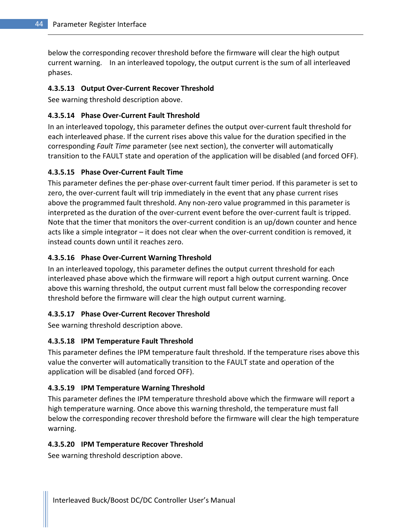below the corresponding recover threshold before the firmware will clear the high output current warning. In an interleaved topology, the output current is the sum of all interleaved phases.

#### <span id="page-45-0"></span>**4.3.5.13 Output Over-Current Recover Threshold**

See warning threshold description above.

#### <span id="page-45-1"></span>**4.3.5.14 Phase Over-Current Fault Threshold**

In an interleaved topology, this parameter defines the output over-current fault threshold for each interleaved phase. If the current rises above this value for the duration specified in the corresponding *Fault Time* parameter (see next section), the converter will automatically transition to the FAULT state and operation of the application will be disabled (and forced OFF).

#### <span id="page-45-2"></span>**4.3.5.15 Phase Over-Current Fault Time**

This parameter defines the per-phase over-current fault timer period. If this parameter is set to zero, the over-current fault will trip immediately in the event that any phase current rises above the programmed fault threshold. Any non-zero value programmed in this parameter is interpreted as the duration of the over-current event before the over-current fault is tripped. Note that the timer that monitors the over-current condition is an up/down counter and hence acts like a simple integrator – it does not clear when the over-current condition is removed, it instead counts down until it reaches zero.

#### <span id="page-45-3"></span>**4.3.5.16 Phase Over-Current Warning Threshold**

In an interleaved topology, this parameter defines the output current threshold for each interleaved phase above which the firmware will report a high output current warning. Once above this warning threshold, the output current must fall below the corresponding recover threshold before the firmware will clear the high output current warning.

#### <span id="page-45-4"></span>**4.3.5.17 Phase Over-Current Recover Threshold**

See warning threshold description above.

#### <span id="page-45-5"></span>**4.3.5.18 IPM Temperature Fault Threshold**

This parameter defines the IPM temperature fault threshold. If the temperature rises above this value the converter will automatically transition to the FAULT state and operation of the application will be disabled (and forced OFF).

#### <span id="page-45-6"></span>**4.3.5.19 IPM Temperature Warning Threshold**

This parameter defines the IPM temperature threshold above which the firmware will report a high temperature warning. Once above this warning threshold, the temperature must fall below the corresponding recover threshold before the firmware will clear the high temperature warning.

#### <span id="page-45-7"></span>**4.3.5.20 IPM Temperature Recover Threshold**

See warning threshold description above.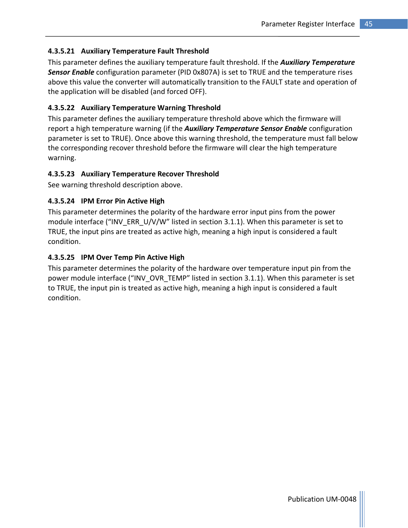#### <span id="page-46-0"></span>**4.3.5.21 Auxiliary Temperature Fault Threshold**

This parameter defines the auxiliary temperature fault threshold. If the *Auxiliary Temperature Sensor Enable* configuration parameter (PID 0x807A) is set to TRUE and the temperature rises above this value the converter will automatically transition to the FAULT state and operation of the application will be disabled (and forced OFF).

#### <span id="page-46-1"></span>**4.3.5.22 Auxiliary Temperature Warning Threshold**

This parameter defines the auxiliary temperature threshold above which the firmware will report a high temperature warning (if the *Auxiliary Temperature Sensor Enable* configuration parameter is set to TRUE). Once above this warning threshold, the temperature must fall below the corresponding recover threshold before the firmware will clear the high temperature warning.

#### <span id="page-46-2"></span>**4.3.5.23 Auxiliary Temperature Recover Threshold**

See warning threshold description above.

#### <span id="page-46-3"></span>**4.3.5.24 IPM Error Pin Active High**

This parameter determines the polarity of the hardware error input pins from the power module interface ("INV\_ERR\_U/V/W" listed in section [3.1.1\)](#page-18-1). When this parameter is set to TRUE, the input pins are treated as active high, meaning a high input is considered a fault condition.

#### <span id="page-46-4"></span>**4.3.5.25 IPM Over Temp Pin Active High**

This parameter determines the polarity of the hardware over temperature input pin from the power module interface ("INV\_OVR\_TEMP" listed in sectio[n 3.1.1\)](#page-18-1). When this parameter is set to TRUE, the input pin is treated as active high, meaning a high input is considered a fault condition.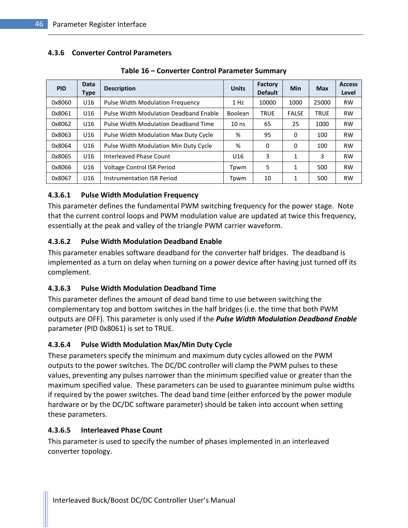#### <span id="page-47-0"></span>**4.3.6 Converter Control Parameters**

<span id="page-47-6"></span>

| <b>PID</b> | Data<br>Type    | <b>Description</b>                     | <b>Units</b>     | Factory<br><b>Default</b> | Min          | <b>Max</b>  | <b>Access</b><br>Level |
|------------|-----------------|----------------------------------------|------------------|---------------------------|--------------|-------------|------------------------|
| 0x8060     | U16             | Pulse Width Modulation Frequency       | 1 Hz             | 10000                     | 1000         | 25000       | <b>RW</b>              |
| 0x8061     | U16             | Pulse Width Modulation Deadband Enable | <b>Boolean</b>   | <b>TRUE</b>               | <b>FALSE</b> | <b>TRUE</b> | <b>RW</b>              |
| 0x8062     | U <sub>16</sub> | Pulse Width Modulation Deadband Time   | 10 <sub>ns</sub> | 65                        | 25           | 1000        | <b>RW</b>              |
| 0x8063     | U <sub>16</sub> | Pulse Width Modulation Max Duty Cycle  | %                | 95                        | 0            | 100         | <b>RW</b>              |
| 0x8064     | U16             | Pulse Width Modulation Min Duty Cycle  | %                | 0                         | 0            | 100         | <b>RW</b>              |
| 0x8065     | U16             | Interleaved Phase Count                | U16              | 3                         | 1            | 3           | <b>RW</b>              |
| 0x8066     | U16             | <b>Voltage Control ISR Period</b>      | Tpwm             | 5                         | 1            | 500         | <b>RW</b>              |
| 0x8067     | U16             | Instrumentation ISR Period             | Tpwm             | 10                        | 1            | 500         | <b>RW</b>              |

**Table 16 – Converter Control Parameter Summary**

#### <span id="page-47-1"></span>**4.3.6.1 Pulse Width Modulation Frequency**

This parameter defines the fundamental PWM switching frequency for the power stage. Note that the current control loops and PWM modulation value are updated at twice this frequency, essentially at the peak and valley of the triangle PWM carrier waveform.

#### <span id="page-47-2"></span>**4.3.6.2 Pulse Width Modulation Deadband Enable**

This parameter enables software deadband for the converter half bridges. The deadband is implemented as a turn on delay when turning on a power device after having just turned off its complement.

#### <span id="page-47-3"></span>**4.3.6.3 Pulse Width Modulation Deadband Time**

This parameter defines the amount of dead band time to use between switching the complementary top and bottom switches in the half bridges (i.e. the time that both PWM outputs are OFF). This parameter is only used if the *Pulse Width Modulation Deadband Enable* parameter (PID 0x8061) is set to TRUE.

#### <span id="page-47-4"></span>**4.3.6.4 Pulse Width Modulation Max/Min Duty Cycle**

These parameters specify the minimum and maximum duty cycles allowed on the PWM outputs to the power switches. The DC/DC controller will clamp the PWM pulses to these values, preventing any pulses narrower than the minimum specified value or greater than the maximum specified value. These parameters can be used to guarantee minimum pulse widths if required by the power switches. The dead band time (either enforced by the power module hardware or by the DC/DC software parameter) should be taken into account when setting these parameters.

#### <span id="page-47-5"></span>**4.3.6.5 Interleaved Phase Count**

This parameter is used to specify the number of phases implemented in an interleaved converter topology.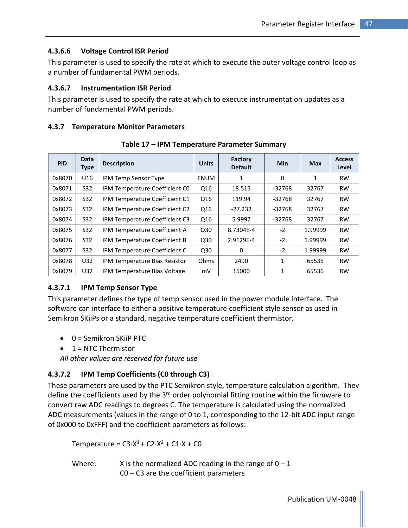#### <span id="page-48-0"></span>**4.3.6.6 Voltage Control ISR Period**

This parameter is used to specify the rate at which to execute the outer voltage control loop as a number of fundamental PWM periods.

#### <span id="page-48-1"></span>**4.3.6.7 Instrumentation ISR Period**

This parameter is used to specify the rate at which to execute instrumentation updates as a number of fundamental PWM periods.

#### <span id="page-48-2"></span>**4.3.7 Temperature Monitor Parameters**

<span id="page-48-5"></span>

| <b>PID</b> | Data<br><b>Type</b> | <b>Description</b>                   | <b>Units</b> | Factory<br><b>Default</b> | <b>Min</b>   | <b>Max</b> | <b>Access</b><br>Level |
|------------|---------------------|--------------------------------------|--------------|---------------------------|--------------|------------|------------------------|
| 0x8070     | U16                 | <b>IPM Temp Sensor Type</b>          | <b>ENUM</b>  | 1                         | 0            | 1          | <b>RW</b>              |
| 0x8071     | S32                 | IPM Temperature Coefficient CO       | Q16          | 18.515                    | $-32768$     | 32767      | <b>RW</b>              |
| 0x8072     | S32                 | IPM Temperature Coefficient C1       | Q16          | 119.94                    | $-32768$     | 32767      | <b>RW</b>              |
| 0x8073     | S32                 | IPM Temperature Coefficient C2       | Q16          | $-27.232$                 | $-32768$     | 32767      | <b>RW</b>              |
| 0x8074     | S32                 | IPM Temperature Coefficient C3       | Q16          | 5.9997                    | $-32768$     | 32767      | <b>RW</b>              |
| 0x8075     | S32                 | <b>IPM Temperature Coefficient A</b> | Q30          | 8.7304E-4                 | $-2$         | 1.99999    | <b>RW</b>              |
| 0x8076     | S32                 | <b>IPM Temperature Coefficient B</b> | Q30          | 2.9129E-4                 | $-2$         | 1.99999    | <b>RW</b>              |
| 0x8077     | S32                 | IPM Temperature Coefficient C        | Q30          | $\Omega$                  | $-2$         | 1.99999    | <b>RW</b>              |
| 0x8078     | U32                 | IPM Temperature Bias Resistor        | Ohms         | 2490                      | 1            | 65535      | <b>RW</b>              |
| 0x8079     | U32                 | IPM Temperature Bias Voltage         | mV           | 15000                     | $\mathbf{1}$ | 65536      | <b>RW</b>              |

**Table 17 – IPM Temperature Parameter Summary**

#### <span id="page-48-3"></span>**4.3.7.1 IPM Temp Sensor Type**

This parameter defines the type of temp sensor used in the power module interface. The software can interface to either a positive temperature coefficient style sensor as used in Semikron SKiiPs or a standard, negative temperature coefficient thermistor.

- $0 =$  Semikron SKiiP PTC
- $\bullet$  1 = NTC Thermistor

*All other values are reserved for future use*

#### <span id="page-48-4"></span>**4.3.7.2 IPM Temp Coefficients (C0 through C3)**

These parameters are used by the PTC Semikron style, temperature calculation algorithm. They define the coefficients used by the 3<sup>rd</sup> order polynomial fitting routine within the firmware to convert raw ADC readings to degrees C. The temperature is calculated using the normalized ADC measurements (values in the range of 0 to 1, corresponding to the 12-bit ADC input range of 0x000 to 0xFFF) and the coefficient parameters as follows:

Temperature =  $C3 \cdot X^3 + C2 \cdot X^2 + C1 \cdot X + C0$ 

Where:  $X$  is the normalized ADC reading in the range of  $0 - 1$  $CO - C3$  are the coefficient parameters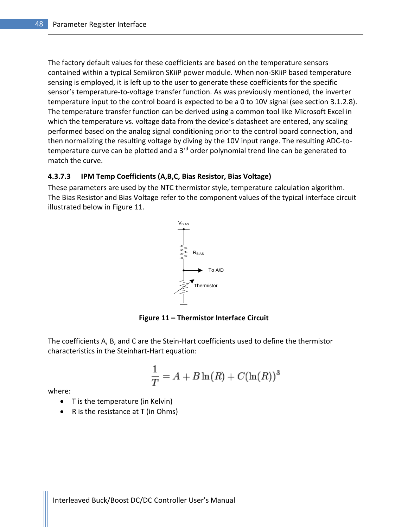The factory default values for these coefficients are based on the temperature sensors contained within a typical Semikron SKiiP power module. When non-SKiiP based temperature sensing is employed, it is left up to the user to generate these coefficients for the specific sensor's temperature-to-voltage transfer function. As was previously mentioned, the inverter temperature input to the control board is expected to be a 0 to 10V signal (see section [3.1.2.8\)](#page-21-0). The temperature transfer function can be derived using a common tool like Microsoft Excel in which the temperature vs. voltage data from the device's datasheet are entered, any scaling performed based on the analog signal conditioning prior to the control board connection, and then normalizing the resulting voltage by diving by the 10V input range. The resulting ADC-totemperature curve can be plotted and a 3<sup>rd</sup> order polynomial trend line can be generated to match the curve.

#### <span id="page-49-0"></span>**4.3.7.3 IPM Temp Coefficients (A,B,C, Bias Resistor, Bias Voltage)**

These parameters are used by the NTC thermistor style, temperature calculation algorithm. The Bias Resistor and Bias Voltage refer to the component values of the typical interface circuit illustrated below in [Figure 11.](#page-49-1)



**Figure 11 – Thermistor Interface Circuit**

<span id="page-49-1"></span>The coefficients A, B, and C are the Stein-Hart coefficients used to define the thermistor characteristics in the Steinhart-Hart equation:

$$
\frac{1}{T} = A + B \ln(R) + C(\ln(R))^3
$$

where:

- T is the temperature (in Kelvin)
- $\bullet$  R is the resistance at T (in Ohms)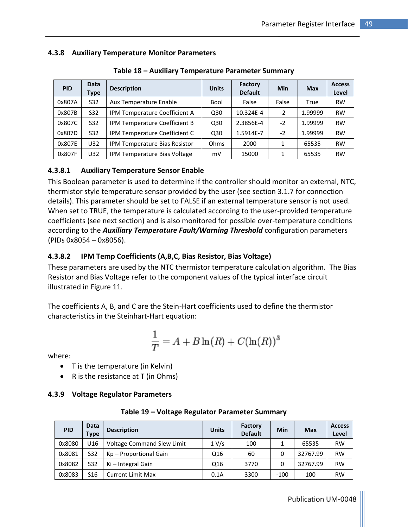<span id="page-50-4"></span>

| <b>PID</b> | <b>Data</b><br>Type | <b>Description</b>                   | <b>Units</b> | Factory<br><b>Default</b> | Min   | <b>Max</b> | <b>Access</b><br>Level |
|------------|---------------------|--------------------------------------|--------------|---------------------------|-------|------------|------------------------|
| 0x807A     | S32                 | Aux Temperature Enable               | Bool         | False                     | False | True       | <b>RW</b>              |
| 0x807B     | S32                 | IPM Temperature Coefficient A        | Q30          | 10.324E-4                 | $-2$  | 1.99999    | <b>RW</b>              |
| 0x807C     | S32                 | IPM Temperature Coefficient B        | Q30          | 2.3856E-4                 | $-2$  | 1.99999    | <b>RW</b>              |
| 0x807D     | S32                 | IPM Temperature Coefficient C        | Q30          | 1.5914E-7                 | $-2$  | 1.99999    | <b>RW</b>              |
| 0x807E     | U32                 | <b>IPM Temperature Bias Resistor</b> | Ohms         | 2000                      |       | 65535      | <b>RW</b>              |
| 0x807F     | U32                 | IPM Temperature Bias Voltage         | mV           | 15000                     | 1     | 65535      | <b>RW</b>              |

#### <span id="page-50-0"></span>**4.3.8 Auxiliary Temperature Monitor Parameters**

**Table 18 – Auxiliary Temperature Parameter Summary**

#### <span id="page-50-1"></span>**4.3.8.1 Auxiliary Temperature Sensor Enable**

This Boolean parameter is used to determine if the controller should monitor an external, NTC, thermistor style temperature sensor provided by the user (see sectio[n 3.1.7](#page-23-0) for connection details). This parameter should be set to FALSE if an external temperature sensor is not used. When set to TRUE, the temperature is calculated according to the user-provided temperature coefficients (see next section) and is also monitored for possible over-temperature conditions according to the *Auxiliary Temperature Fault/Warning Threshold* configuration parameters (PIDs 0x8054 – 0x8056).

#### <span id="page-50-2"></span>**4.3.8.2 IPM Temp Coefficients (A,B,C, Bias Resistor, Bias Voltage)**

These parameters are used by the NTC thermistor temperature calculation algorithm. The Bias Resistor and Bias Voltage refer to the component values of the typical interface circuit illustrated in [Figure 11.](#page-49-1)

The coefficients A, B, and C are the Stein-Hart coefficients used to define the thermistor characteristics in the Steinhart-Hart equation:

$$
\frac{1}{T} = A + B \ln(R) + C(\ln(R))^3
$$

where:

- T is the temperature (in Kelvin)
- R is the resistance at  $T$  (in Ohms)

#### <span id="page-50-3"></span>**4.3.9 Voltage Regulator Parameters**

<span id="page-50-5"></span>

| <b>PID</b> | <b>Data</b><br>Type | <b>Description</b>                | <b>Units</b> | Factory<br><b>Default</b> | Min    | <b>Max</b> | <b>Access</b><br>Level |
|------------|---------------------|-----------------------------------|--------------|---------------------------|--------|------------|------------------------|
| 0x8080     | U16                 | <b>Voltage Command Slew Limit</b> | 1 V/s        | 100                       |        | 65535      | <b>RW</b>              |
| 0x8081     | S32                 | Kp - Proportional Gain            | Q16          | 60                        |        | 32767.99   | <b>RW</b>              |
| 0x8082     | S32                 | Ki – Integral Gain                | Q16          | 3770                      |        | 32767.99   | <b>RW</b>              |
| 0x8083     | S16                 | <b>Current Limit Max</b>          | 0.1A         | 3300                      | $-100$ | 100        | <b>RW</b>              |

#### **Table 19 – Voltage Regulator Parameter Summary**

Publication UM-0048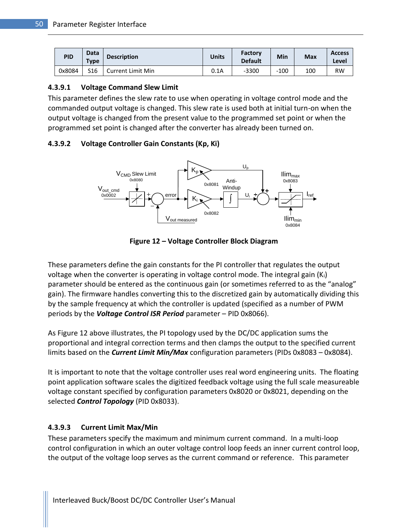| <b>PID</b> | <b>Data</b><br><b>Type</b> | <b>Description</b>       | Units | Factory<br><b>Default</b> | Min    | <b>Max</b> | <b>Access</b><br>Level |
|------------|----------------------------|--------------------------|-------|---------------------------|--------|------------|------------------------|
| 0x8084     | S16                        | <b>Current Limit Min</b> | 0.1A  | $-3300$                   | $-100$ | 100        | <b>RW</b>              |

#### <span id="page-51-0"></span>**4.3.9.1 Voltage Command Slew Limit**

This parameter defines the slew rate to use when operating in voltage control mode and the commanded output voltage is changed. This slew rate is used both at initial turn-on when the output voltage is changed from the present value to the programmed set point or when the programmed set point is changed after the converter has already been turned on.

#### <span id="page-51-1"></span>**4.3.9.2 Voltage Controller Gain Constants (Kp, Ki)**



**Figure 12 – Voltage Controller Block Diagram**

<span id="page-51-3"></span>These parameters define the gain constants for the PI controller that regulates the output voltage when the converter is operating in voltage control mode. The integral gain (Ki) parameter should be entered as the continuous gain (or sometimes referred to as the "analog" gain). The firmware handles converting this to the discretized gain by automatically dividing this by the sample frequency at which the controller is updated (specified as a number of PWM periods by the *Voltage Control ISR Period* parameter – PID 0x8066).

As [Figure 12](#page-51-3) above illustrates, the PI topology used by the DC/DC application sums the proportional and integral correction terms and then clamps the output to the specified current limits based on the *Current Limit Min/Max* configuration parameters (PIDs 0x8083 – 0x8084).

It is important to note that the voltage controller uses real word engineering units. The floating point application software scales the digitized feedback voltage using the full scale measureable voltage constant specified by configuration parameters 0x8020 or 0x8021, depending on the selected *Control Topology* (PID 0x8033).

#### <span id="page-51-2"></span>**4.3.9.3 Current Limit Max/Min**

These parameters specify the maximum and minimum current command. In a multi-loop control configuration in which an outer voltage control loop feeds an inner current control loop, the output of the voltage loop serves as the current command or reference. This parameter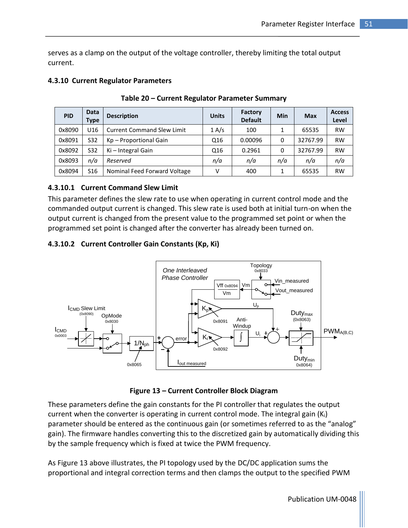serves as a clamp on the output of the voltage controller, thereby limiting the total output current.

<span id="page-52-4"></span>

| <b>PID</b> | <b>Data</b><br>Type | <b>Description</b>                | <b>Units</b> | Factory<br><b>Default</b> | Min | <b>Max</b> | <b>Access</b><br>Level |
|------------|---------------------|-----------------------------------|--------------|---------------------------|-----|------------|------------------------|
| 0x8090     | U16                 | <b>Current Command Slew Limit</b> | 1 A/s        | 100                       |     | 65535      | <b>RW</b>              |
| 0x8091     | S32                 | Kp - Proportional Gain            | Q16          | 0.00096                   | 0   | 32767.99   | <b>RW</b>              |
| 0x8092     | S32                 | Ki – Integral Gain                | Q16          | 0.2961                    | 0   | 32767.99   | <b>RW</b>              |
| 0x8093     | n/a                 | Reserved                          | n/a          | n/a                       | n/a | n/a        | n/a                    |
| 0x8094     | S <sub>16</sub>     | Nominal Feed Forward Voltage      | v            | 400                       | 1   | 65535      | <b>RW</b>              |

#### <span id="page-52-0"></span>**4.3.10 Current Regulator Parameters**

**Table 20 – Current Regulator Parameter Summary**

#### <span id="page-52-1"></span>**4.3.10.1 Current Command Slew Limit**

This parameter defines the slew rate to use when operating in current control mode and the commanded output current is changed. This slew rate is used both at initial turn-on when the output current is changed from the present value to the programmed set point or when the programmed set point is changed after the converter has already been turned on.

#### <span id="page-52-2"></span>**4.3.10.2 Current Controller Gain Constants (Kp, Ki)**





<span id="page-52-3"></span>These parameters define the gain constants for the PI controller that regulates the output current when the converter is operating in current control mode. The integral gain (Ki) parameter should be entered as the continuous gain (or sometimes referred to as the "analog" gain). The firmware handles converting this to the discretized gain by automatically dividing this by the sample frequency which is fixed at twice the PWM frequency.

As [Figure 13](#page-52-3) above illustrates, the PI topology used by the DC/DC application sums the proportional and integral correction terms and then clamps the output to the specified PWM

Publication UM-0048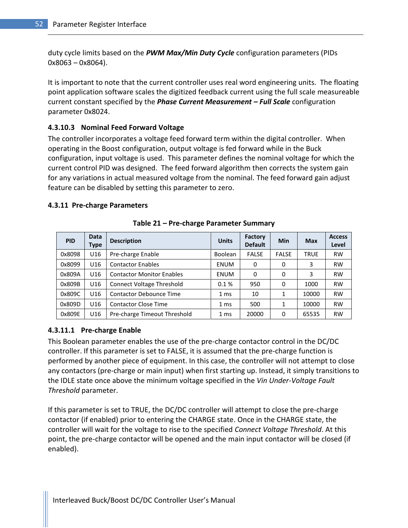duty cycle limits based on the *PWM Max/Min Duty Cycle* configuration parameters (PIDs 0x8063 – 0x8064).

It is important to note that the current controller uses real word engineering units. The floating point application software scales the digitized feedback current using the full scale measureable current constant specified by the *Phase Current Measurement – Full Scale* configuration parameter 0x8024.

#### <span id="page-53-0"></span>**4.3.10.3 Nominal Feed Forward Voltage**

The controller incorporates a voltage feed forward term within the digital controller. When operating in the Boost configuration, output voltage is fed forward while in the Buck configuration, input voltage is used. This parameter defines the nominal voltage for which the current control PID was designed. The feed forward algorithm then corrects the system gain for any variations in actual measured voltage from the nominal. The feed forward gain adjust feature can be disabled by setting this parameter to zero.

#### <span id="page-53-1"></span>**4.3.11 Pre-charge Parameters**

<span id="page-53-3"></span>

| <b>PID</b> | <b>Data</b><br>Type | <b>Description</b>               | <b>Units</b>    | Factory<br><b>Default</b> | <b>Min</b>   | <b>Max</b>  | <b>Access</b><br>Level |
|------------|---------------------|----------------------------------|-----------------|---------------------------|--------------|-------------|------------------------|
| 0x8098     | U16                 | Pre-charge Enable                | <b>Boolean</b>  | <b>FALSE</b>              | <b>FALSE</b> | <b>TRUE</b> | <b>RW</b>              |
| 0x8099     | U <sub>16</sub>     | <b>Contactor Enables</b>         | <b>ENUM</b>     | 0                         | 0            | 3           | <b>RW</b>              |
| 0x809A     | U16                 | <b>Contactor Monitor Enables</b> | <b>ENUM</b>     | 0                         | 0            | 3           | <b>RW</b>              |
| 0x809B     | U16                 | <b>Connect Voltage Threshold</b> | 0.1%            | 950                       | 0            | 1000        | <b>RW</b>              |
| 0x809C     | U <sub>16</sub>     | <b>Contactor Debounce Time</b>   | 1 <sub>ms</sub> | 10                        | 1            | 10000       | <b>RW</b>              |
| 0x809D     | U <sub>16</sub>     | <b>Contactor Close Time</b>      | 1 <sub>ms</sub> | 500                       |              | 10000       | <b>RW</b>              |
| 0x809E     | U16                 | Pre-charge Timeout Threshold     | 1 <sub>ms</sub> | 20000                     | 0            | 65535       | <b>RW</b>              |

#### **Table 21 – Pre-charge Parameter Summary**

#### <span id="page-53-2"></span>**4.3.11.1 Pre-charge Enable**

This Boolean parameter enables the use of the pre-charge contactor control in the DC/DC controller. If this parameter is set to FALSE, it is assumed that the pre-charge function is performed by another piece of equipment. In this case, the controller will not attempt to close any contactors (pre-charge or main input) when first starting up. Instead, it simply transitions to the IDLE state once above the minimum voltage specified in the *Vin Under-Voltage Fault Threshold* parameter.

If this parameter is set to TRUE, the DC/DC controller will attempt to close the pre-charge contactor (if enabled) prior to entering the CHARGE state. Once in the CHARGE state, the controller will wait for the voltage to rise to the specified *Connect Voltage Threshold*. At this point, the pre-charge contactor will be opened and the main input contactor will be closed (if enabled).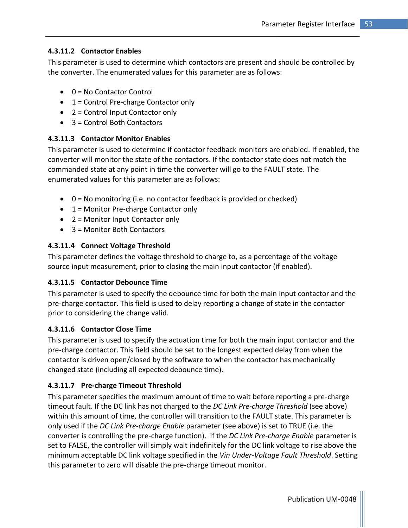#### <span id="page-54-0"></span>**4.3.11.2 Contactor Enables**

This parameter is used to determine which contactors are present and should be controlled by the converter. The enumerated values for this parameter are as follows:

- $\bullet$  0 = No Contactor Control
- 1 = Control Pre-charge Contactor only
- 2 = Control Input Contactor only
- $\bullet$  3 = Control Both Contactors

#### <span id="page-54-1"></span>**4.3.11.3 Contactor Monitor Enables**

This parameter is used to determine if contactor feedback monitors are enabled. If enabled, the converter will monitor the state of the contactors. If the contactor state does not match the commanded state at any point in time the converter will go to the FAULT state. The enumerated values for this parameter are as follows:

- $\bullet$  0 = No monitoring (i.e. no contactor feedback is provided or checked)
- $\bullet$  1 = Monitor Pre-charge Contactor only
- 2 = Monitor Input Contactor only
- 3 = Monitor Both Contactors

#### <span id="page-54-2"></span>**4.3.11.4 Connect Voltage Threshold**

This parameter defines the voltage threshold to charge to, as a percentage of the voltage source input measurement, prior to closing the main input contactor (if enabled).

#### <span id="page-54-3"></span>**4.3.11.5 Contactor Debounce Time**

This parameter is used to specify the debounce time for both the main input contactor and the pre-charge contactor. This field is used to delay reporting a change of state in the contactor prior to considering the change valid.

#### <span id="page-54-4"></span>**4.3.11.6 Contactor Close Time**

This parameter is used to specify the actuation time for both the main input contactor and the pre-charge contactor. This field should be set to the longest expected delay from when the contactor is driven open/closed by the software to when the contactor has mechanically changed state (including all expected debounce time).

#### <span id="page-54-5"></span>**4.3.11.7 Pre-charge Timeout Threshold**

This parameter specifies the maximum amount of time to wait before reporting a pre-charge timeout fault. If the DC link has not charged to the *DC Link Pre-charge Threshold* (see above) within this amount of time, the controller will transition to the FAULT state. This parameter is only used if the *DC Link Pre-charge Enable* parameter (see above) is set to TRUE (i.e. the converter is controlling the pre-charge function). If the *DC Link Pre-charge Enable* parameter is set to FALSE, the controller will simply wait indefinitely for the DC link voltage to rise above the minimum acceptable DC link voltage specified in the *Vin Under-Voltage Fault Threshold*. Setting this parameter to zero will disable the pre-charge timeout monitor.

Publication UM-0048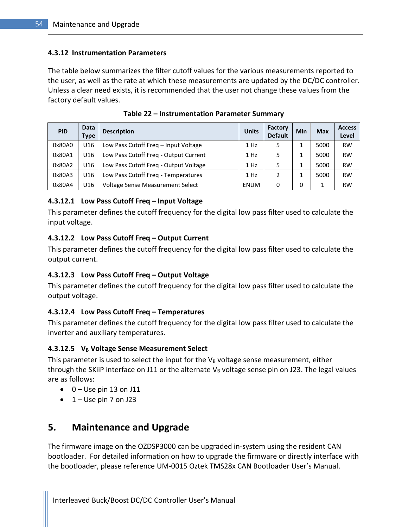#### <span id="page-55-0"></span>**4.3.12 Instrumentation Parameters**

The table below summarizes the filter cutoff values for the various measurements reported to the user, as well as the rate at which these measurements are updated by the DC/DC controller. Unless a clear need exists, it is recommended that the user not change these values from the factory default values.

<span id="page-55-7"></span>

| <b>PID</b> | Data<br><b>Type</b> | <b>Description</b>                    | <b>Units</b> | <b>Factory</b><br><b>Default</b> | Min | <b>Max</b> | <b>Access</b><br>Level |
|------------|---------------------|---------------------------------------|--------------|----------------------------------|-----|------------|------------------------|
| 0x80A0     | U16                 | Low Pass Cutoff Freg - Input Voltage  | $1$ Hz       |                                  | 1   | 5000       | <b>RW</b>              |
| 0x80A1     | U16                 | Low Pass Cutoff Freg - Output Current | $1$ Hz       |                                  | 1   | 5000       | <b>RW</b>              |
| 0x80A2     | U16                 | Low Pass Cutoff Freg - Output Voltage | $1$ Hz       |                                  | 1   | 5000       | <b>RW</b>              |
| 0x80A3     | U16                 | Low Pass Cutoff Freg - Temperatures   | 1 Hz         | 2                                |     | 5000       | <b>RW</b>              |
| 0x80A4     | U16                 | Voltage Sense Measurement Select      | <b>ENUM</b>  | 0                                | 0   | 1          | <b>RW</b>              |

**Table 22 – Instrumentation Parameter Summary**

#### <span id="page-55-1"></span>**4.3.12.1 Low Pass Cutoff Freq – Input Voltage**

This parameter defines the cutoff frequency for the digital low pass filter used to calculate the input voltage.

#### <span id="page-55-2"></span>**4.3.12.2 Low Pass Cutoff Freq – Output Current**

This parameter defines the cutoff frequency for the digital low pass filter used to calculate the output current.

#### <span id="page-55-3"></span>**4.3.12.3 Low Pass Cutoff Freq – Output Voltage**

This parameter defines the cutoff frequency for the digital low pass filter used to calculate the output voltage.

#### <span id="page-55-4"></span>**4.3.12.4 Low Pass Cutoff Freq – Temperatures**

This parameter defines the cutoff frequency for the digital low pass filter used to calculate the inverter and auxiliary temperatures.

#### <span id="page-55-5"></span>**4.3.12.5 V<sup>B</sup> Voltage Sense Measurement Select**

This parameter is used to select the input for the  $V_B$  voltage sense measurement, either through the SKiiP interface on J11 or the alternate  $V_B$  voltage sense pin on J23. The legal values are as follows:

- $\bullet$  0 Use pin 13 on J11
- <span id="page-55-6"></span> $\bullet$  1 – Use pin 7 on J23

#### **5. Maintenance and Upgrade**

The firmware image on the OZDSP3000 can be upgraded in-system using the resident CAN bootloader. For detailed information on how to upgrade the firmware or directly interface with the bootloader, please reference UM-0015 Oztek TMS28x CAN Bootloader User's Manual.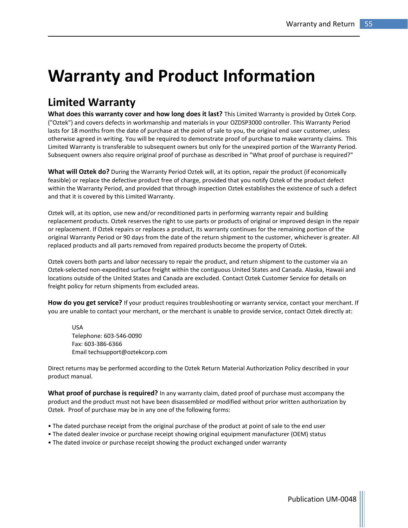## <span id="page-56-0"></span>**Warranty and Product Information**

### **Limited Warranty**

**What does this warranty cover and how long does it last?** This Limited Warranty is provided by Oztek Corp. ("Oztek") and covers defects in workmanship and materials in your OZDSP3000 controller. This Warranty Period lasts for 18 months from the date of purchase at the point of sale to you, the original end user customer, unless otherwise agreed in writing. You will be required to demonstrate proof of purchase to make warranty claims. This Limited Warranty is transferable to subsequent owners but only for the unexpired portion of the Warranty Period. Subsequent owners also require original proof of purchase as described in "What proof of purchase is required?"

**What will Oztek do?** During the Warranty Period Oztek will, at its option, repair the product (if economically feasible) or replace the defective product free of charge, provided that you notify Oztek of the product defect within the Warranty Period, and provided that through inspection Oztek establishes the existence of such a defect and that it is covered by this Limited Warranty.

Oztek will, at its option, use new and/or reconditioned parts in performing warranty repair and building replacement products. Oztek reserves the right to use parts or products of original or improved design in the repair or replacement. If Oztek repairs or replaces a product, its warranty continues for the remaining portion of the original Warranty Period or 90 days from the date of the return shipment to the customer, whichever is greater. All replaced products and all parts removed from repaired products become the property of Oztek.

Oztek covers both parts and labor necessary to repair the product, and return shipment to the customer via an Oztek-selected non-expedited surface freight within the contiguous United States and Canada. Alaska, Hawaii and locations outside of the United States and Canada are excluded. Contact Oztek Customer Service for details on freight policy for return shipments from excluded areas.

**How do you get service?** If your product requires troubleshooting or warranty service, contact your merchant. If you are unable to contact your merchant, or the merchant is unable to provide service, contact Oztek directly at:

USA Telephone: 603-546-0090 Fax: 603-386-6366 Email techsupport@oztekcorp.com

Direct returns may be performed according to the Oztek Return Material Authorization Policy described in your product manual.

**What proof of purchase is required?** In any warranty claim, dated proof of purchase must accompany the product and the product must not have been disassembled or modified without prior written authorization by Oztek. Proof of purchase may be in any one of the following forms:

- The dated purchase receipt from the original purchase of the product at point of sale to the end user
- The dated dealer invoice or purchase receipt showing original equipment manufacturer (OEM) status
- The dated invoice or purchase receipt showing the product exchanged under warranty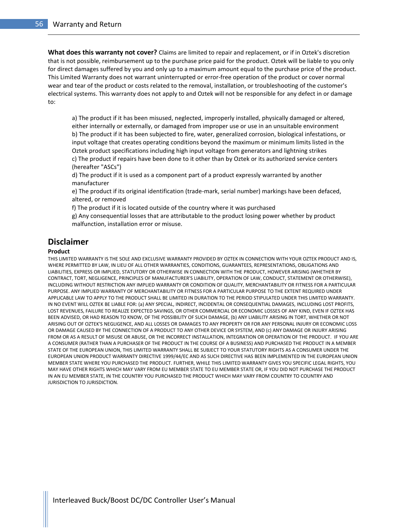**What does this warranty not cover?** Claims are limited to repair and replacement, or if in Oztek's discretion that is not possible, reimbursement up to the purchase price paid for the product. Oztek will be liable to you only for direct damages suffered by you and only up to a maximum amount equal to the purchase price of the product. This Limited Warranty does not warrant uninterrupted or error-free operation of the product or cover normal wear and tear of the product or costs related to the removal, installation, or troubleshooting of the customer's electrical systems. This warranty does not apply to and Oztek will not be responsible for any defect in or damage to:

a) The product if it has been misused, neglected, improperly installed, physically damaged or altered, either internally or externally, or damaged from improper use or use in an unsuitable environment b) The product if it has been subjected to fire, water, generalized corrosion, biological infestations, or input voltage that creates operating conditions beyond the maximum or minimum limits listed in the Oztek product specifications including high input voltage from generators and lightning strikes c) The product if repairs have been done to it other than by Oztek or its authorized service centers (hereafter "ASCs")

d) The product if it is used as a component part of a product expressly warranted by another manufacturer

e) The product if its original identification (trade-mark, serial number) markings have been defaced, altered, or removed

f) The product if it is located outside of the country where it was purchased

g) Any consequential losses that are attributable to the product losing power whether by product malfunction, installation error or misuse.

#### **Disclaimer**

#### **Product**

THIS LIMITED WARRANTY IS THE SOLE AND EXCLUSIVE WARRANTY PROVIDED BY OZTEK IN CONNECTION WITH YOUR OZTEK PRODUCT AND IS, WHERE PERMITTED BY LAW, IN LIEU OF ALL OTHER WARRANTIES, CONDITIONS, GUARANTEES, REPRESENTATIONS, OBLIGATIONS AND LIABILITIES, EXPRESS OR IMPLIED, STATUTORY OR OTHERWISE IN CONNECTION WITH THE PRODUCT, HOWEVER ARISING (WHETHER BY CONTRACT, TORT, NEGLIGENCE, PRINCIPLES OF MANUFACTURER'S LIABILITY, OPERATION OF LAW, CONDUCT, STATEMENT OR OTHERWISE), INCLUDING WITHOUT RESTRICTION ANY IMPLIED WARRANTY OR CONDITION OF QUALITY, MERCHANTABILITY OR FITNESS FOR A PARTICULAR PURPOSE. ANY IMPLIED WARRANTY OF MERCHANTABILITY OR FITNESS FOR A PARTICULAR PURPOSE TO THE EXTENT REQUIRED UNDER APPLICABLE LAW TO APPLY TO THE PRODUCT SHALL BE LIMITED IN DURATION TO THE PERIOD STIPULATED UNDER THIS LIMITED WARRANTY. IN NO EVENT WILL OZTEK BE LIABLE FOR: (a) ANY SPECIAL, INDIRECT, INCIDENTAL OR CONSEQUENTIAL DAMAGES, INCLUDING LOST PROFITS, LOST REVENUES, FAILURE TO REALIZE EXPECTED SAVINGS, OR OTHER COMMERCIAL OR ECONOMIC LOSSES OF ANY KIND, EVEN IF OZTEK HAS BEEN ADVISED, OR HAD REASON TO KNOW, OF THE POSSIBILITY OF SUCH DAMAGE, (b) ANY LIABILITY ARISING IN TORT, WHETHER OR NOT ARISING OUT OF OZTEK'S NEGLIGENCE, AND ALL LOSSES OR DAMAGES TO ANY PROPERTY OR FOR ANY PERSONAL INJURY OR ECONOMIC LOSS OR DAMAGE CAUSED BY THE CONNECTION OF A PRODUCT TO ANY OTHER DEVICE OR SYSTEM, AND (c) ANY DAMAGE OR INJURY ARISING FROM OR AS A RESULT OF MISUSE OR ABUSE, OR THE INCORRECT INSTALLATION, INTEGRATION OR OPERATION OF THE PRODUCT. IF YOU ARE A CONSUMER (RATHER THAN A PURCHASER OF THE PRODUCT IN THE COURSE OF A BUSINESS) AND PURCHASED THE PRODUCT IN A MEMBER STATE OF THE EUROPEAN UNION, THIS LIMITED WARRANTY SHALL BE SUBJECT TO YOUR STATUTORY RIGHTS AS A CONSUMER UNDER THE EUROPEAN UNION PRODUCT WARRANTY DIRECTIVE 1999/44/EC AND AS SUCH DIRECTIVE HAS BEEN IMPLEMENTED IN THE EUROPEAN UNION MEMBER STATE WHERE YOU PURCHASED THE PRODUCT. FURTHER, WHILE THIS LIMITED WARRANTY GIVES YOU SPECIFIC LEGAL RIGHTS, YOU MAY HAVE OTHER RIGHTS WHICH MAY VARY FROM EU MEMBER STATE TO EU MEMBER STATE OR, IF YOU DID NOT PURCHASE THE PRODUCT IN AN EU MEMBER STATE, IN THE COUNTRY YOU PURCHASED THE PRODUCT WHICH MAY VARY FROM COUNTRY TO COUNTRY AND JURISDICTION TO JURISDICTION.